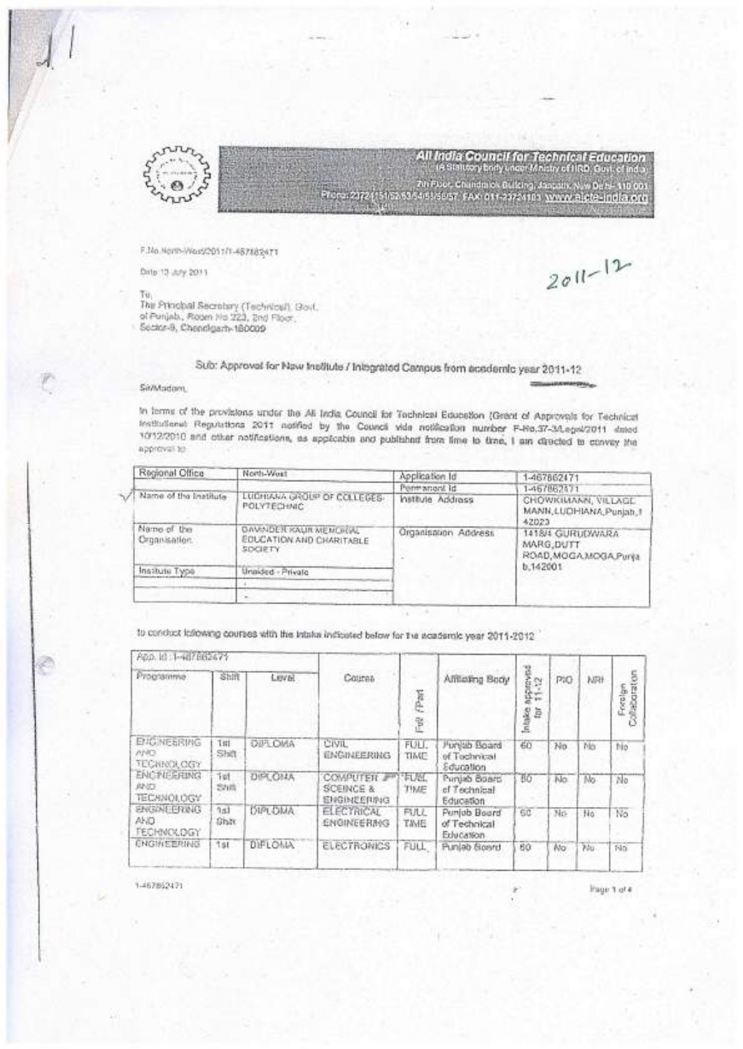

All India Council for Technical Education<br>is statecy body used Mactry of IRD, Guillet India 7th Floor, Chandralok Bulking, January, New Belti-110 001 MG iest EAX 011-20724103 WAAW Biele india ong

F.No.North-Woss/2011/1-487882471

Drite 13: July 2011

 $2011 - 12$ 

Tu. ru<br>The Principal Secretary (Technical), Bout.<br>of Punjab., Picom Ho 223, Snd Floor.<br>Secker-8, Chendigent-180009

# Sub: Approval for Naw Institute / Integrated Campus from academic year 2011-12

## SinMadom,

In terms of the provisions under the Ali India Council for Technical Education (Grant of Approvals for Technical Institutional Regulations 2011 notified by the Council vide notification number F-Re.37-3/Legal/2011 dated 1012/2010 and other notifications, as applicable and published from lime to time, I am directed to convey the apprevai to

| Regional Office              | North-Wost                                                             | Application Id       | 1-467862471                                               |  |  |
|------------------------------|------------------------------------------------------------------------|----------------------|-----------------------------------------------------------|--|--|
|                              |                                                                        | Permanent Id         | 1-467862471                                               |  |  |
| Name of the Institute        | LUDHIANA GROUP OF COLLEGES.<br><b>POLYTECHNIC</b><br><b>CONTRACTOR</b> | Institute Address    | CHOWKIMANN, VILLAGE<br>MANN, LUDHIANA, Punjab, 1<br>42023 |  |  |
| Name of the<br>Croanisation. | DAVINDER KAUR MEMORIAL<br><b>EDUCATION AND CHARITABLE</b><br>SOCIETY   | Organisation Address | 1418/4 GURUDWARA<br>MARG, DUTT<br>ROAD, MOGA MOGA Punja   |  |  |
| Institute Type               | Unaided - Private                                                      |                      | 0.142001                                                  |  |  |
|                              |                                                                        |                      |                                                           |  |  |
|                              |                                                                        |                      |                                                           |  |  |

to conduct inflowing courses with the Intake indicated below for the scatternic year 2011-2012

| App. 10:1-407062475                                    |                 |                |                                                   |                      |                                           |                                         |      |     |         |
|--------------------------------------------------------|-----------------|----------------|---------------------------------------------------|----------------------|-------------------------------------------|-----------------------------------------|------|-----|---------|
| Programma                                              | Shift           | Level          | Coursa                                            | (Part<br>登           | Afficing Body                             | <b>REAGE</b><br>Đ.<br>ģ÷<br>ă<br>š<br>Ξ | PIO. | NRF | Foralge |
| <b>ENGINEERING</b><br>AND:<br><b>TECHNOLOGY</b>        | Titl<br>Shift   | DIR OMA        | CIVIL<br>ENGINEERING                              | FULL.<br>TIME        | Punkib Board<br>of Tochnical<br>Education | 60                                      | No   | No  | tio     |
| <b>ENCINEERING</b><br><b>AND</b><br><b>TECANOLOGY</b>  | Tel<br>动暗       | DIFE ONA       | COMPUTER #<br><b>SCEINGE &amp;</b><br>ENGINEERING | FUM.<br>TIME         | Punjab Board<br>of Technical<br>Education | 80                                      | No   | Mo  | No      |
| <b><i>ENGINEERING</i></b><br>AKD.<br><b>FECHNOLDGY</b> | 0.83<br>Ghat    | <b>DIPLOMA</b> | <b>ELECTRICAL</b><br><b>ENGINEERING</b>           | FULL.<br><b>TAME</b> | Punjob Board<br>of Technical<br>Education | 6C                                      | No   | No  | No      |
| <b>ENGINEERING</b>                                     | <sup>1</sup> st | <b>DIFLOMA</b> | <b>ELECTRONICS</b>                                | FULL                 | Punleb Board                              | 60                                      | No   | 75U | No      |

1-467862471

Page 1 of 4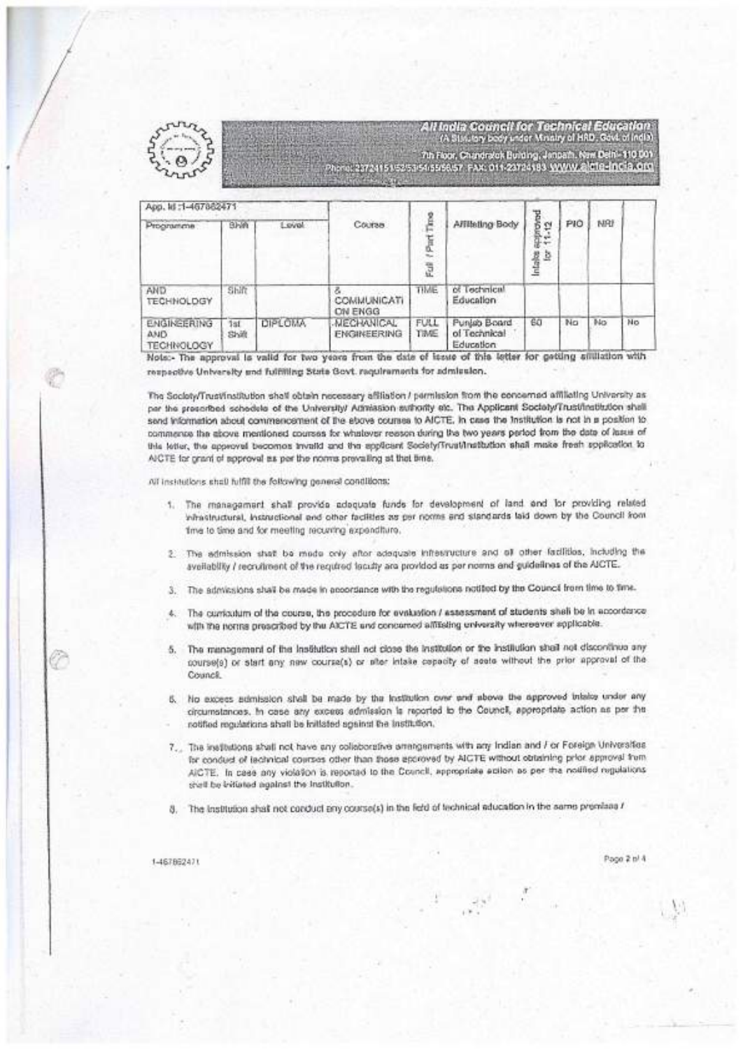

All India Council for Technical Education<br>A Susany beer ador Monity of HAD, Gost of India 7th Floor, Chandralok Building, Jimpach, Naw Daln - 110 001<br>23724151 525254 51958 57, FAX: 011-23724183 JWWW.G<mark>ICTG-Incia.c</mark>im

App. 16:1-467862471 sprond<br>11.12 The S Course Affilieting Body PIO NRI  $B<sub>1</sub>$ **Loval** Programme (Part) Intakes J. AND Shift TIME of Technical COMMUNICATI **TECHNOLDGY** Education ON ENGG ENGINEERING **DIPLOMA MECHANICAL** FULL Punlab Board 60 No T-In  $\overline{\text{M}}$ 1st of Technical ENGINEERING **TIME ASIPY** Shift **TECHNOLOGY** Education

Note:- The approval is vaild for two years from the date of itsste of this letter for getting situlation with respective University and fulfilling State Govt. requirements for admission.

The Society/Trust/Institution shall obtain necessary affiliation / permission from the concerned affiliating University as per the prescribed schedele of the University/ Admission sulhority etc. The Applicant Society/Trustfinstitution shall send information about commencement of the ebove courses to AICTE, in case the Institution is not in a position to commence the above mentioned courses for whatever reeson during the two years period from the data of lasse of this letter, the approval becomes invalid and the applicant Society/Trust/Institution shall make fresh spplication to A/CTE for grant of soproval as per the nonna prevailing at that time.

All institutions shall fulfill the following general conditions:

- 1. The management shall provide adequate funds for development of land and for providing related inhastructural, instructional and other facilities as per norms and standards laid down by the Council from time to time and for meeting recurring expenditure.
- 2. The admission stat be mede only after adequate infrestructure and of other facilities, including the availability / recruitment of the required faculty are provided as per norms and guidelines of the AICTE.
- 3. The admissions shall be made in accordance with the regulations notified by the Council from time to time.
- 4. The curriculum of the course, the procedure for evaluation / assessment of students shall be in accordance with the norms prescribed by the AICTE and concerned affitialing enversity whereever applicable.
- 5. The management of the Institution shall not close the Institution or the Institution shall not discontinue any course(s) or start any new course(s) or alter intake cepacity of agets without the prior approval of the Council.
- 6. No excess admission shall be made by the institution over and above the approved intelos under any circumstances. In case any excess edmission is reported to the Council, appropriate action as per the notified regulations shull be initiated against the institution.
- 7. The institutions shall not have any collaborative arrangements with any Indian and For Foreign Universities for conduct of lechnical courses other than those eporoved by AICTE without obtaining prior approval from AICTE. In case any violation is reported to the Council, appropriate ection as per the notified regulations shall be initiated against the Institution.

 $\mathcal{S}^{\pm}=\frac{\pi}{2}$ 

8. The Institution shall not conduct any course(s) in the field of technical aducation in the same premises /

1-467862471

Page 2 bl 4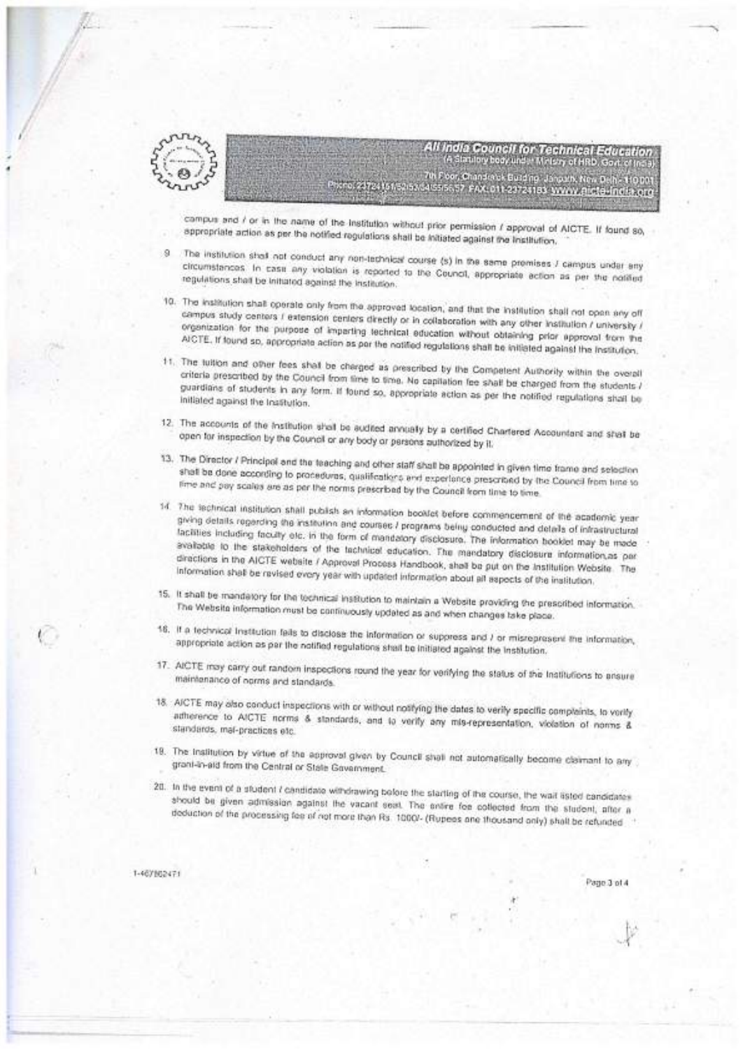

All India Council for Technical Education Statulory body under Minison of HRD, Govt, of India, 7th Foor, Chanderek Building, Januarh, New Delhi, 110 001<br>Alssiscist, PAX 011-23724183, SWAW, Rictio-India, org

compus and / or in the name of the institution without prior permission / approval of AICTE. If found so, appropriate action as per the notified regulations shall be initiated against the institution.

- The institution shall not conduct any non-technical course (s) in the same premises / campus under any S) circumstances. In case any violation is reported to the Council, appropriate action as per the notified regulations shall be initiated against the institution.
- 10. The institution shall operate only from the approved location, and that the institution shall not open any off campus study centers / extension centers directly or in collaboration with any other institution / university / organization for the purpose of imparting technical education without obtaining prior approval from the AICTE, if found so, appropriate action as par the notified regulations shall be initiated against the institution.
- 11. The tuttion and other fees shall be charged as prescribed by the Competent Authority within the overall criteria prescribed by the Council from time to time. No capitation fee shall be charged from the students / guardians of students in any form. If found so, appropriate action as per the notified regulations shall be initiated against the Institution.
- 12. The accounts of the institution shall be audited annually by a certified Chartered Accountant and shall be open for inspection by the Council or any body or persons authorized by it.
- 13. The Director / Principal and the teaching and other staff shall be appointed in given time frame and selection shall be done according to procedures, qualifications and experience prescribed by the Council from time to fime and pay scales are as per the norms prescribed by the Council from time to time.
- 14. The technical institution shall publish an information booklet before commencement of the academic year giving details regerding the institution and courses / programs being conducted and details of infrastructural facilities including faculty etc. in the form of mandatory disclosure. The information booklet may be made available to the stakeholders of the fachnical education. The mandatory disclosure information,as par directions in the AICTE website / Approval Process Handbook, shall be put on the Institution Website. The Information shall be ravised every year with updated information about all aspects of the institution.
- 15. It shall be mandatory for the technical institution to maintain a Website providing the prescribed information. The Website information must be confining updated as and when changes take place.
- 16. If a technical institution fails to disclose the information or suppress and / or misrepresent the information, appropriate action as par the notified regulations shall be initiated against the Institution.
- 17. AICTE may carry out random inspections round the year for verifying the status of the Institutions to ansure maintenance of norms and standards.
- 18. AICTE may also conduct inspections with or without notifying the dates to verify specific compleints, to verify atherence to AICTE norms & standards, and to verify any mis-representation, violation of norms & standards, mal-practices etc.
- 19. The Institution by virtue of the approval given by Council shall not automatically become claimant to any grant-in-aid from the Central or State Government.
- 20. In the event of a student i candidate withdrawing before the starting of the course, the wait asted candidates abould be given admission against the vacant sest. The entire foe collected from the student, after a deduction of the processing fee of not more than Rs. 1000/- (Rupees ane thousand only) shall be refunded

1-467802471

Page 3 of 4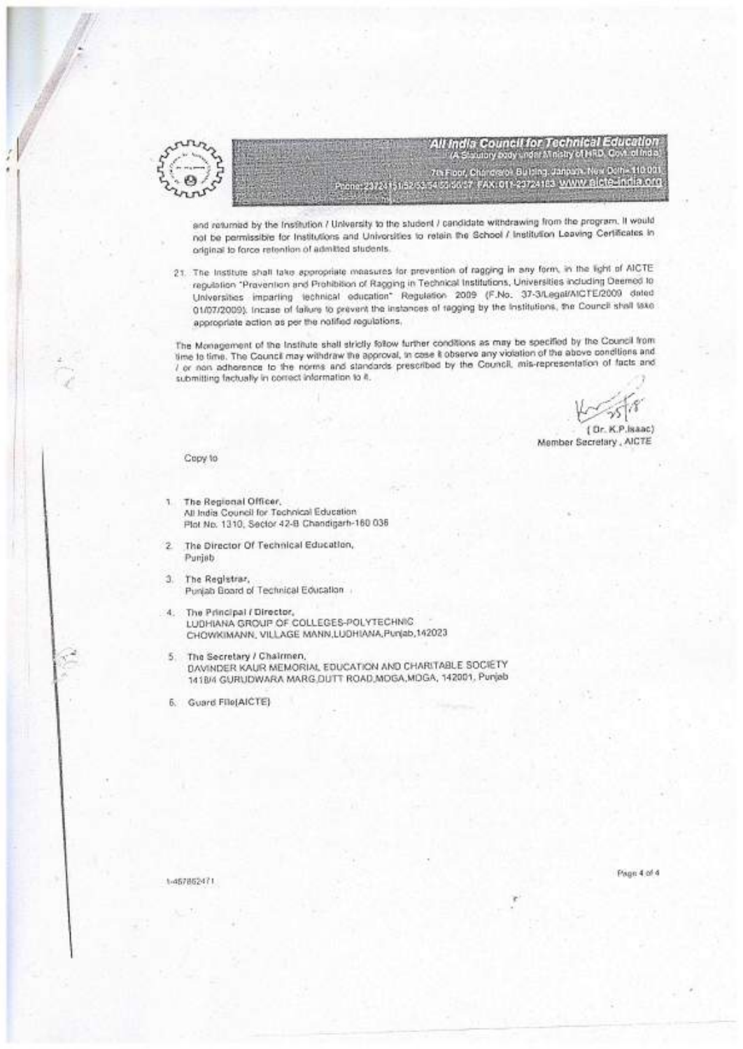

All India Council for Technical Education<br>A Struby boy understrictly of HRD, Cort of India drate: Builting, Janpare, New Dolf - 110 001 The Foot, Chip dialor Builing, Janpary, New Daily 110 001.<br>http://www.gir-23724183.<u>www.gicte-india.org.</u>

and returned by the Institution / University to the student / candidate withdrawing from the program. It would not be permissible for Institutions and Universities to retain the School / Institution Leaving Certificates in original to force retention of admitted students.

21. The Institute shall lake appropriate measures for prevention of ragging in any form, in the light of AICTE regulation "Provention and Prohibition of Ragging in Technical Institutions, Universities including Deemed to Universities imparting technical education\* Regulation 2009 (F.No. 37-3/Legal/AICTE/2009 dated 01/07/2009), Incase of fallure to prevent the instances of ragging by the Institutions, the Council shall take appropriate action as per the notified regulations,

The Monagement of the Institute shall strictly follow further conditions as may be specified by the Council from time to time. The Council may withdraw the approval, to case it observe any violation of the above conditions and / or non adherence to the norms and standards prescribed by the Council, mis-representation of facts and submitting factually in correct information to it.

CP Issan's Member Secretary, AICTE

#### Copy to

- The Regional Officer, 1 All India Council for Technical Education Plot No. 1310, Sector 42-B Chandigarh-160 036
- The Director Of Technical Education, ž Punjab
- 3. The Registrar, Punjab Board of Technical Education
- 4. The Principal / Director, LUDHIANA GROUP OF COLLEGES-POLYTECHNIC CHOWKIMANN, VILLAGE MANN, LUDHIANA, Punjab, 142023
- The Secretary / Chairmen, 5. DAVINDER KAUR MEMORIAL EDUCATION AND CHARITABLE SOCIETY 141B/4 GURUDWARA MARG DUTT ROAD MOGA, MDGA, 142001, Punjab

6. Guard File(AICTE)

1-457862471

Page 4 of 4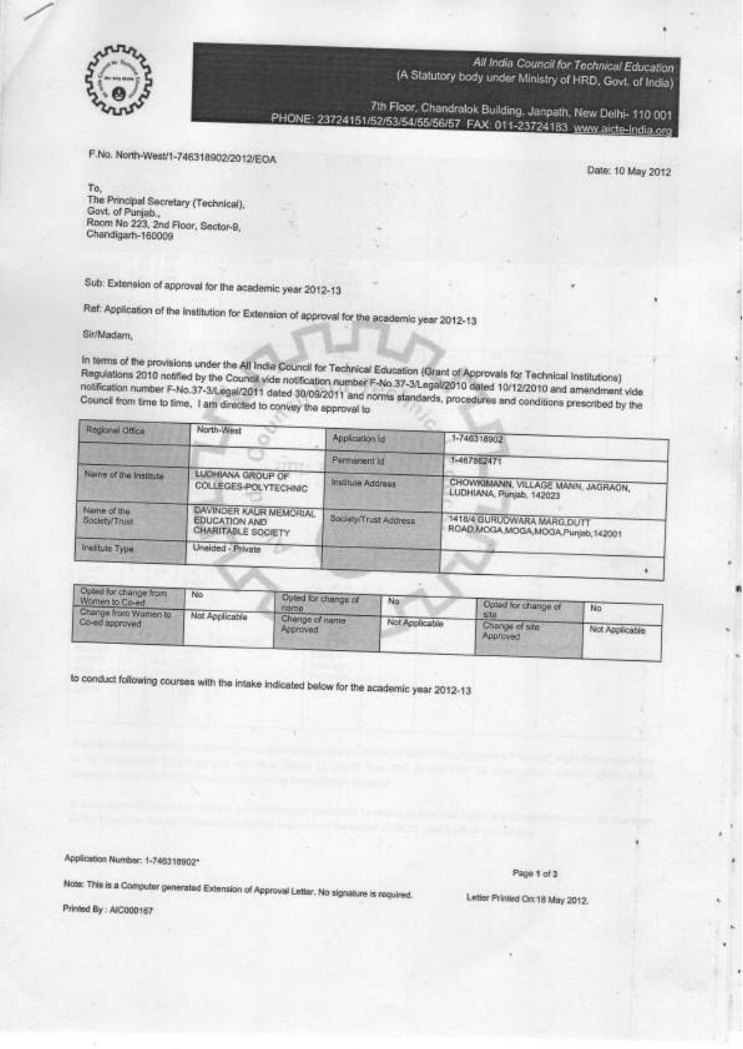

7th Floor, Chandralok Building, Janpath, New Delhi- 110 001 PHONE: 23724151/52/53/54/55/56/57 FAX: 011-23724183 www.aicte-India.org

F.No. North-West/1-746318902/2012/EOA

Date: 10 May 2012

To, The Principal Secretary (Technical), Govt. of Punjab., Room No 223, 2nd Floor, Sector-9, Chandigarh-160009

Sub: Extension of approval for the academic year 2012-13

Ref: Application of the Institution for Extension of approval for the academic year 2012-13

Sir/Madam,

In terms of the provisions under the All India Council for Technical Education (Grant of Approvals for Technical Institutions) Regulations 2010 notified by the Council vide notification number F-No.37-3/Legal/2010 dated 10/12/2010 and amendment vide notification number F-No.37-3/Legal/2011 dated 30/09/2011 and norms standards, procedures and conditions prescribed by the Council from time to time, I am directed to convey the approval to

| Regional Office:             | North-West                                                                  | Application id        | 1-746318902                                                       |
|------------------------------|-----------------------------------------------------------------------------|-----------------------|-------------------------------------------------------------------|
|                              |                                                                             | Permanent ld          | 1-467862471                                                       |
| Name of the Institute        | <b>LUDHIANA GROUP OF</b><br><b>COLLEGES-POLYTECHNIC</b>                     | Institute Address     | CHOWKIMANN, VILLAGE MANN, JAGRAON,<br>LUDHIANA, Punjab, 142023    |
| Name of the<br>Society/Trust | DAVINDER KAUR MEMORIAL<br><b>EDUCATION AND</b><br><b>CHARITABLE SOCIETY</b> | Society/Trust Address | 1418/4 GURUDWARA MARG.DUTT<br>ROAD, MOGA MOGA MOGA Punjab, 142001 |
| <b>Institute Type</b>        | Unaided - Private                                                           |                       |                                                                   |

| Opout for change from<br>Women to Co-ed | No.            | Doted for change of        | No.            |                             |                |
|-----------------------------------------|----------------|----------------------------|----------------|-----------------------------|----------------|
| Change from Women to                    | Not Applicable | name                       |                | Opted for change of<br>site | No             |
| Co-ed approved                          |                | Change of name<br>Reproved | Not Applicable | Change of site<br>Approved  | Not Applicable |

to conduct following courses with the intake indicated below for the academic year 2012-13

Application Number: 1-746318902\*

Page 1 of 3

Note: This is a Computer generated Extension of Approval Letter. No signature is required.

Printed By: AIC000167

Letter Printed On: 18 May 2012.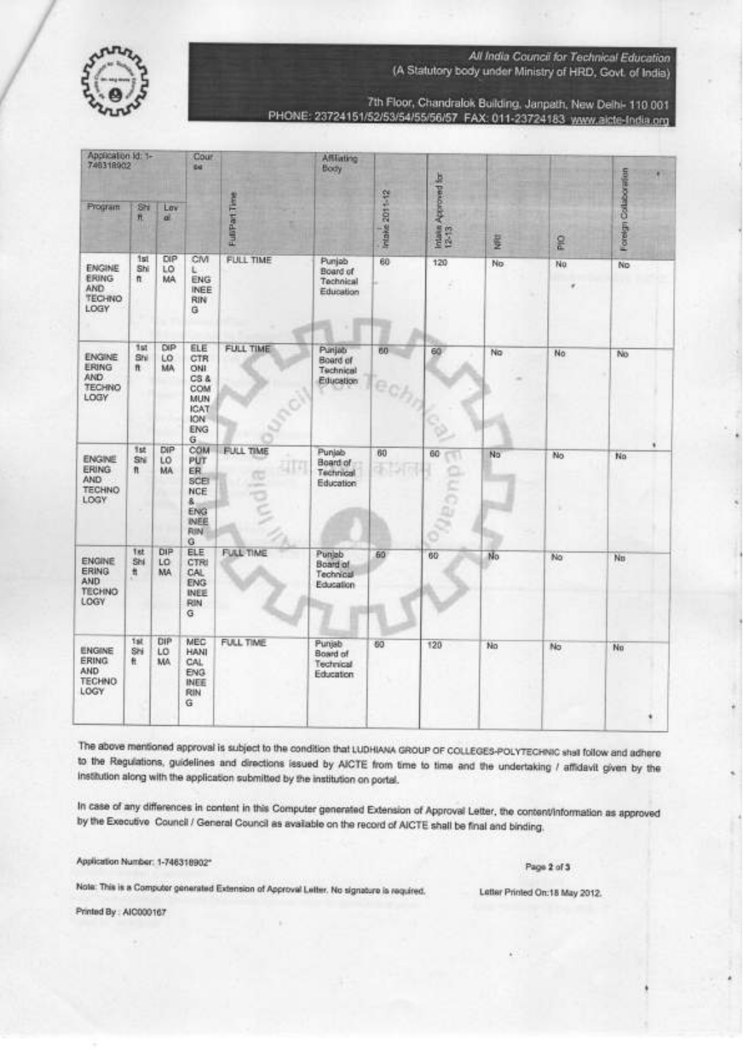

7th Floor, Chandralok Building, Janpath, New Delhi- 110 001 PHONE: 23724151/52/53/54/55/56/57 FAX: 011-23724183 www.aicte-India.org

| Application Id: 1-<br>746318902                                      |                             |                               | Cour<br>6d <sup>-</sup>                                                      |                                        | <b>Affliating</b><br>Body                           |                             | Approved for           |           |            |                       |
|----------------------------------------------------------------------|-----------------------------|-------------------------------|------------------------------------------------------------------------------|----------------------------------------|-----------------------------------------------------|-----------------------------|------------------------|-----------|------------|-----------------------|
| Program                                                              | Shi<br>形                    | Lav<br>aï.                    |                                                                              | FullPart Time                          |                                                     | <b>Intake 2011-12</b>       | <b>Intake</b><br>12-13 | <b>RE</b> | <b>Did</b> | Foreign Collaboration |
| <b>ENGINE</b><br><b>ERING</b><br>AND.<br>TECHNO<br>LOGY              | 151<br>Shi<br>n             | DIP<br>LO<br>MA               | CM<br>υ<br><b>ENG</b><br><b>INEE</b><br><b>RIN</b><br>G                      | FULL TIME                              | Punjab<br>Board of<br>Technical<br>Education        | 60                          | 120                    | No.       | No         | No                    |
| <b>ENGINE</b><br><b>ERING</b><br>AND<br><b>TECHNO</b><br>LOGY        | 1st<br>Shi<br>$\mathfrak n$ | DIP<br>LO.<br>MA <sub>1</sub> | ELE<br>CTR<br>ONI<br>$CS$ &<br>COM<br>MUN<br><b>ICAT</b><br>ION:<br>ENG<br>G | FULL TIME                              | Punjab<br>Board of<br>Technical<br>Education        | 60<br>e                     | 60                     | No        | No         | No                    |
| <b>ENGINE</b><br><b>ERING</b><br><b>AND</b><br><b>TECHNO</b><br>LOGY | 1st<br>Shi<br>n             | DIP<br>LO<br>MA.              | COM<br>PUT<br>ER.<br>SCE<br><b>NCE</b><br>氤<br>ENG<br>INEE<br>RIN<br>Ġ       | <b>FULL TIME</b><br>$\frac{1}{2}$<br>u | Punjab<br>Board of<br>Technical<br>Education        | 60<br>$\blacklozenge$<br>26 | 60                     | No.       | No.        | No                    |
| <b>ENGINE</b><br><b>ERING</b><br>AND<br><b>TECHNO</b><br>LOGY        | 1st<br>Shi<br>Ħ             | DIP<br>LO<br><b>MA</b>        | ELE<br>CTRI<br>CAL<br><b>ENG</b><br>INEE<br>RIN<br>G                         | FULL-TIME                              | Punjab<br>Board of<br>Technical<br>Education        | 60                          | 60                     | No        | No         | Nn                    |
| ENGINE<br><b>ERING</b><br><b>AND</b><br><b>TECHNO</b><br>LOGY.       | Tat<br>Shi<br>任             | DIP<br>LO<br>MA.              | MEC<br>HANI<br>CAL<br>ENG.<br>INEE<br>RIN<br>Ġ.                              | FULL TIME                              | Puniab<br>Board of<br>Technical<br><b>Education</b> | 60                          | 120                    | No        | No         | Nn                    |

The above mentioned approval is subject to the condition that LUDHIANA GROUP OF COLLEGES-POLYTECHNIC shall follow and adhere to the Regulations, guidelines and directions issued by AICTE from time to time and the undertaking / affidavit given by the institution along with the application submitted by the institution on portal.

In case of any differences in content in this Computer generated Extension of Approval Letter, the content/information as approved by the Executive Council / General Council as available on the record of AICTE shall be final and binding.

Application Number: 1-746318902\*

Page 2 of 3

Note: This is a Computer generated Extension of Approval Letter. No signature is required.

Printed By: AIC000167

Latter Printed On:18 May 2012.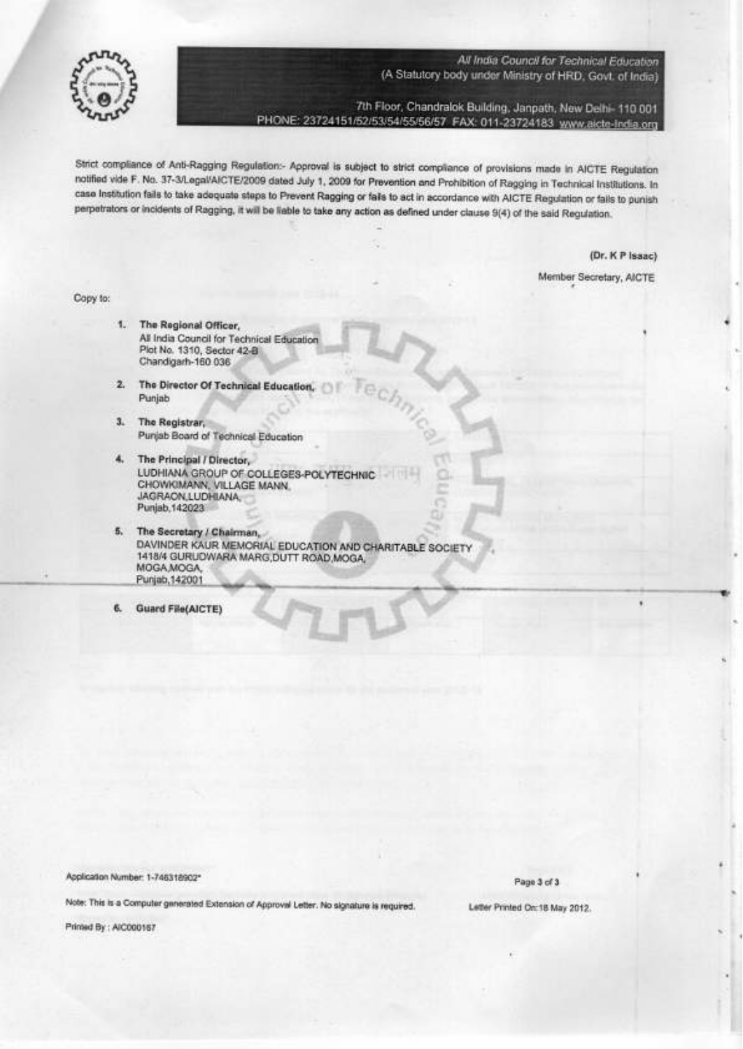

7th Floor, Chandralok Building, Janpath, New Delhi- 110 001 PHONE: 23724151/52/53/54/55/56/57 FAX: 011-23724183 www.aicte-India.org

Strict compliance of Anti-Ragging Regulation:- Approval is subject to strict compliance of provisions made in AICTE Regulation notified vide F. No. 37-3/Legal/AICTE/2009 dated July 1, 2009 for Prevention and Prohibition of Ragging in Technical Institutions. In case Institution fails to take adequate steps to Prevent Ragging or fails to act in accordance with AICTE Regulation or fails to punish perpetrators or incidents of Ragging, it will be liable to take any action as defined under clause 9(4) of the said Regulation.

(Dr. K P Isaac)

Member Secretary, AICTE

Copy to:

- 1. The Regional Officer, All India Council for Technical Education Plat No. 1310, Sector 42-B Chandigarh-160 036
- 2. The Director Of Technical Education, Punjab
- 3. The Registrar, Purjab Board of Technical Education
- The Principal / Director,  $4.$ LUDHIANA GROUP OF COLLEGES-POLYTECHNIC CHOWKIMANN, VILLAGE MANN. JAGRAON, LUDHIANA Punjab, 142023
- 5. The Secretary / Chairman, DAVINDER KAUR MEMORIAL EDUCATION AND CHARITABLE SOCIETY 1418/4 GURUDWARA MARG, DUTT ROAD, MOGA, MOGA, MOGA, Punjab, 142001
- **Guard File(AICTE)** 6.

Application Number: 1-746318902\*

Note: This is a Computer generated Extension of Approval Letter. No signature is required.

Printed By: AIC000167

Page 3 of 3

Letter Printed On: 18 May 2012.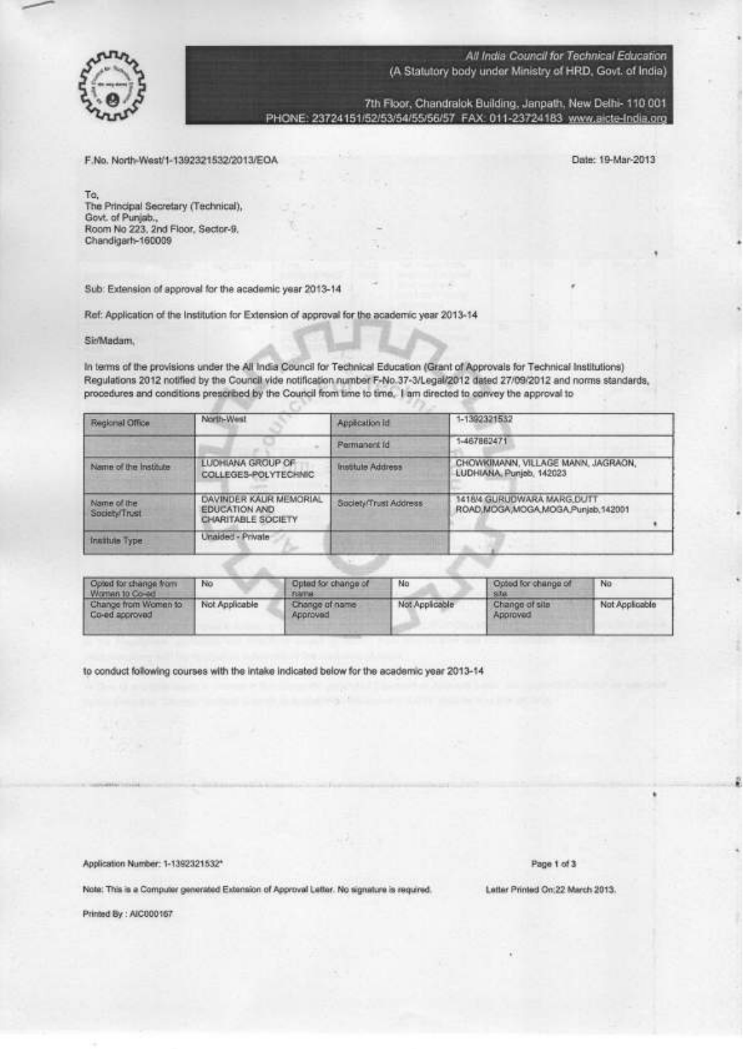

7th Floor, Chandralok Building, Janpath, New Delhi- 110 001 PHONE: 23724151/52/53/54/55/56/57 FAX: 011-23724183 www.aicte-India.org

F.No. North-West/1-1392321532/2013/EOA

Date: 19-Mar-2013

To, The Principal Secretary (Technical), Govt. of Punjab.,<br>Room No 223, 2nd Floor, Sector-9. Chandigarh-160009

Sub: Extension of approval for the academic year 2013-14

Ref: Application of the Institution for Extension of approval for the academic year 2013-14

SirMadam,

In terms of the provisions under the All India Council for Technical Education (Grant of Approvals for Technical Institutions) Regulations 2012 notified by the Council vide notification number F-No.37-3/Legal/2012 dated 27/09/2012 and norms standards, procedures and conditions prescribed by the Council from time to time, I am directed to convey the approval to

| Regional Office              | North-West                                                           | Application Id           | 1-1392321532                                                    |
|------------------------------|----------------------------------------------------------------------|--------------------------|-----------------------------------------------------------------|
|                              |                                                                      | Permanent Id             | 1-467862471                                                     |
| Name of the Institute        | <b>LUDHIANA GROUP OF</b><br>COLLEGES-POLYTECHNIC                     | <b>Institute Address</b> | CHOWKIMANN, VILLAGE MANN, JAGRAON,<br>LUDHIANA, Puniob, 142023  |
| Name of the<br>Society/Trust | DAVINDER KAUR MEMORIAL<br><b>EDUCATION AND</b><br>CHARITABLE SOCIETY | Society/Trust Address    | 1418/4 GURUDWARA MARG DUTT<br>ROAD,MOGA,MOGA,MOGA,Punjab,142001 |
| Institute Type               | Unaided - Private                                                    |                          |                                                                 |

| Opted for change from<br>Women to Co-ed | No             | Opted for change of<br><b>FORFING</b> | No             | Opted for change of<br>$-9.58$ | No             |
|-----------------------------------------|----------------|---------------------------------------|----------------|--------------------------------|----------------|
| Change from Women to<br>Co-ed approvad  | Not Applicable | Change of name<br>heyongua.           | Not Applicable | Change of site<br>Approved     | Not Applicable |

to conduct following courses with the intake indicated below for the academic year 2013-14

Application Number: 1-1392321532\*

Page 1 of 3

Note: This is a Computer generated Extension of Approval Letter. No signature is required.

Printed By : AIC000167

Letter Printed On:22 March 2013.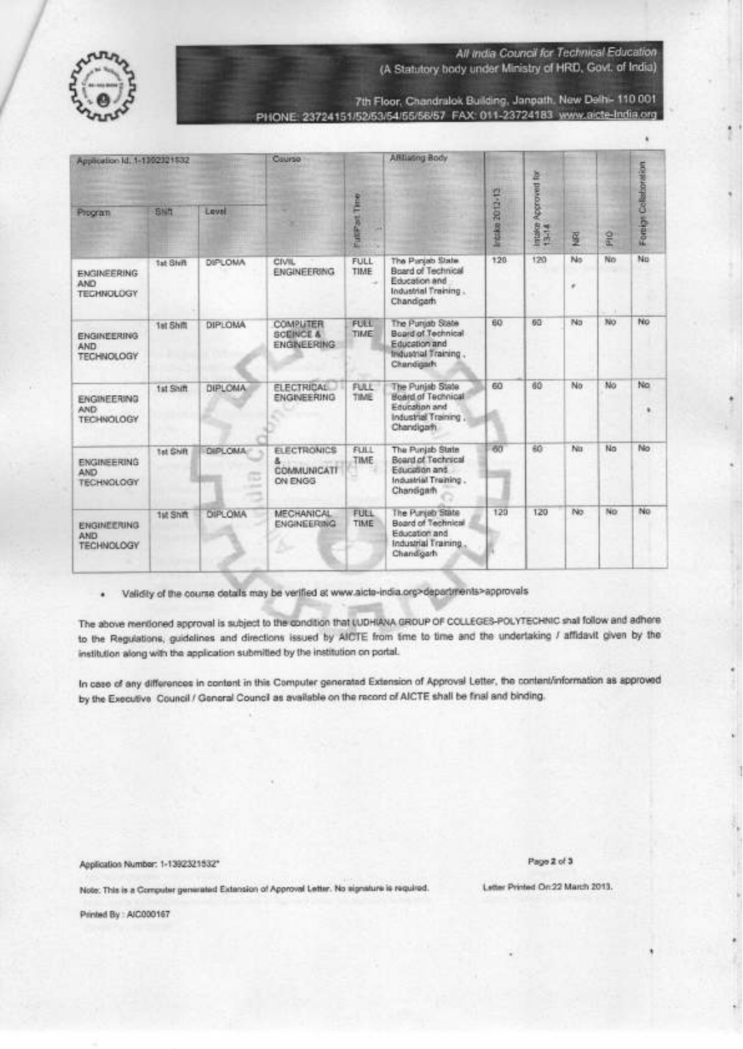

(A Statutory body under Ministry of HRD, Govt. of India)

7th Floor, Chandralok Building, Janpath, New Delhi- 110 001 PHONE: 23724151/52/53/54/55/56/57 FAX: 011-23724183 www.aicte-India.org

| Application Id. 1-1392321532                          |                  |                               | Course                                                         |                     | Affiliating Body                                                                                      |                     |                                 |                  |    |                       |
|-------------------------------------------------------|------------------|-------------------------------|----------------------------------------------------------------|---------------------|-------------------------------------------------------------------------------------------------------|---------------------|---------------------------------|------------------|----|-----------------------|
| Program                                               | <b>BNR</b>       | Lovel                         |                                                                | ê<br><b>FutiPat</b> |                                                                                                       | 2012-13<br>Intrike: | Approved for<br>intake<br>13-14 | 垦                | 윤  | Foreign Collaboration |
| ENGINEERING<br>AND<br><b>TECHNOLOGY</b>               | 1at Shift        | DIPLOMA                       | <b>CIVIL</b><br><b>ENGINEERING</b>                             | <b>FULL</b><br>TIME | The Panjab State<br>Board of Technical<br>Education and<br>Industrial Training.<br>Chandgarh          | 120                 | 120<br>٠                        | No<br>$\epsilon$ | No | No                    |
| <b>ENGINEERING</b><br>AND<br><b>TECHNOLOGY</b>        | 1st Sh面          | DIPLOMA                       | <b>COMPLITER</b><br><b>SCEINCE &amp;</b><br><b>ENGINEERING</b> | <b>FULL</b><br>TIME | The Purgab State<br>Board of Technical<br>Education and<br><b>Industrial Training.</b><br>Chandigarh  | 60                  | 60                              | No               | No | No                    |
| <b>ENGINEERING</b><br>AND:<br><b>TECHNOLOGY</b>       | 1st Shift        | DIPLOMA                       | <b>FLECTRICAL</b><br><b>ENGINEERING</b>                        | <b>FULL</b><br>TIME | The Punjab State<br><b>Board of Technical</b><br>Foundhan and<br>Industrial Training,<br>Chandiga fr. | 60                  | 60                              | No               | No | No                    |
| <b>ENGINEERING</b><br><b>AND</b><br><b>TECHNOLOGY</b> | <b>Tat Shift</b> | DIPLOMA:<br><b>COLOR</b><br>- | <b>FLECTRONICS</b><br>z.<br>COMMUNICATE<br>ON ENGG             | <b>FULL</b><br>TIME | The Punjab State<br>Board of Technical<br>Equation and<br>Industrial Training.<br>Chandigarh          | 60                  | 60                              | No               | No | No                    |
| <b>ENGINEERING</b><br><b>AND</b><br><b>TECHNOLOGY</b> | 1st Shift        | <b>DIPLOMA</b>                | MECHANICAL<br><b>ENGINEERING</b>                               | FULL<br>TIME        | The Punjab State<br>Board of Technical<br>Education and<br>Industrial Training<br>Chandigarh          | 120                 | 120                             | No.              | No | No                    |

· Validity of the course details may be verified at www.aicte-india.org>departments>approvals

The above mentioned approval is subject to the condition that LUDHIANA GROUP OF COLLEGES-POLYTECHNIC shall follow and adhere to the Regulations, guidalines and directions issued by AICTE from time to time and the undertaking / affidavit given by the institution along with the application submitted by the institution on portal.

In case of any differences in content in this Computer generated Extension of Approval Letter, the content/information as approved by the Executive Council / General Council as available on the record of AICTE shall be final and binding.

Application Number: 1-1392321932\*

Page 2 of 3

Letter Printed On 22 March 2013.

Note: This is a Computer generated Extension of Approval Letter. No signature is required.

Printed By: AIC000167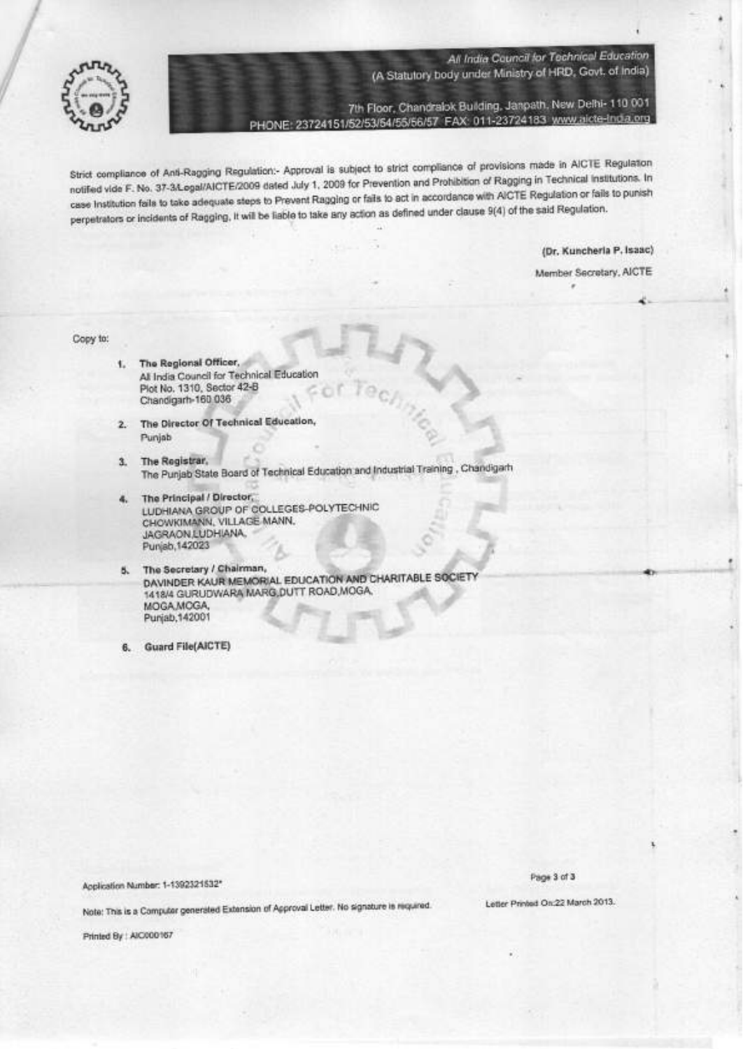

7th Floor, Chandralok Building, Janpath, New Delhi- 110 001 PHONE: 23724151/52/53/54/55/56/57 FAX: 011-23724183 www.aicte-India.org

J.

Strict compliance of Anti-Ragging Regulation:- Approval is subject to strict compliance of provisions made in AICTE Regulation notified vide F. No. 37-3/Logal/AICTE/2009 dated July 1, 2009 for Prevention and Prohibition of Ragging in Technical institutions. In case Institution fails to take adequate steps to Prevent Ragging or fails to act in accordance with AICTE Regulation or fails to punish perpetrators or incidents of Ragging, it will be liable to take any action as defined under clause 9(4) of the said Regulation.

(Dr. Kuncheria P. Isaac)

Member Secretary, AICTE

Copy to:

- The Regional Officer, ¥. All India Council for Technical Education Plot No. 1310, Sector 42-B Chandigarh-160.036
- 2. The Director Of Technical Education, Punjab
- $3.$ The Registrar, The Punjab State Board of Technical Education and Industrial Training, Chandigarh
- The Principal / Director 4. LUDHIANA GROUP OF COLLEGES-POLYTECHNIC CHOWKIMANN, VILLAGE MANN, JAGRAON, LUDHIANA, Punjab, 142023
- 5. The Secretary / Chairman, DAVINDER KAUR MEMORIAL EDUCATION AND CHARITABLE SOCIETY 1418/4 GURUDWARA MARG DUTT ROAD, MOGA, MOGA MOGA, Punjab, 142001
- Guard File(AICTE) 6.

Application Number: 1-1392321532\*

Page 3 of 3

Note: This is a Computer generated Extension of Approval Letter. No signature is required.

Printed By | AIC000167

Letter Printed On:22 March 2013.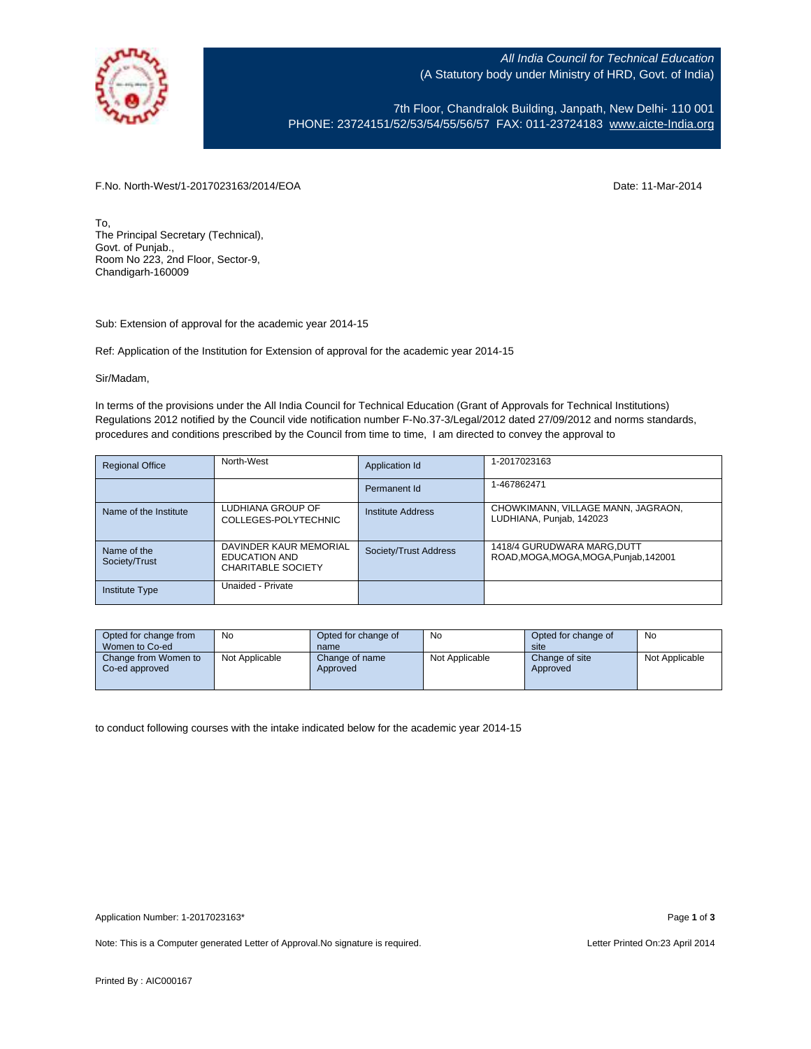

7th Floor, Chandralok Building, Janpath, New Delhi- 110 001 PHONE: 23724151/52/53/54/55/56/57 FAX: 011-23724183 [www.aicte-India.org](http://www.aicte-india.org/)

F.No. North-West/1-2017023163/2014/EOA Date: 11-Mar-2014

To, The Principal Secretary (Technical), Govt. of Punjab., Room No 223, 2nd Floor, Sector-9, Chandigarh-160009

Sub: Extension of approval for the academic year 2014-15

Ref: Application of the Institution for Extension of approval for the academic year 2014-15

Sir/Madam,

In terms of the provisions under the All India Council for Technical Education (Grant of Approvals for Technical Institutions) Regulations 2012 notified by the Council vide notification number F-No.37-3/Legal/2012 dated 27/09/2012 and norms standards, procedures and conditions prescribed by the Council from time to time, I am directed to convey the approval to

| <b>Regional Office</b>       | North-West                                                           | Application Id           | 1-2017023163                                                          |
|------------------------------|----------------------------------------------------------------------|--------------------------|-----------------------------------------------------------------------|
|                              |                                                                      | Permanent Id             | 1-467862471                                                           |
| Name of the Institute        | LUDHIANA GROUP OF<br>COLLEGES-POLYTECHNIC                            | <b>Institute Address</b> | CHOWKIMANN, VILLAGE MANN, JAGRAON,<br>LUDHIANA, Punjab, 142023        |
| Name of the<br>Society/Trust | DAVINDER KAUR MEMORIAL<br>EDUCATION AND<br><b>CHARITABLE SOCIETY</b> | Society/Trust Address    | 1418/4 GURUDWARA MARG, DUTT<br>ROAD, MOGA, MOGA, MOGA, Punjab, 142001 |
| <b>Institute Type</b>        | Unaided - Private                                                    |                          |                                                                       |

| Opted for change from<br>Women to Co-ed | No             | Opted for change of<br>name | No             | Opted for change of<br>site | No             |
|-----------------------------------------|----------------|-----------------------------|----------------|-----------------------------|----------------|
| Change from Women to<br>Co-ed approved  | Not Applicable | Change of name<br>Approved  | Not Applicable | Change of site<br>Approved  | Not Applicable |

to conduct following courses with the intake indicated below for the academic year 2014-15

Note: This is a Computer generated Letter of Approval. No signature is required. Letter Printed On:23 April 2014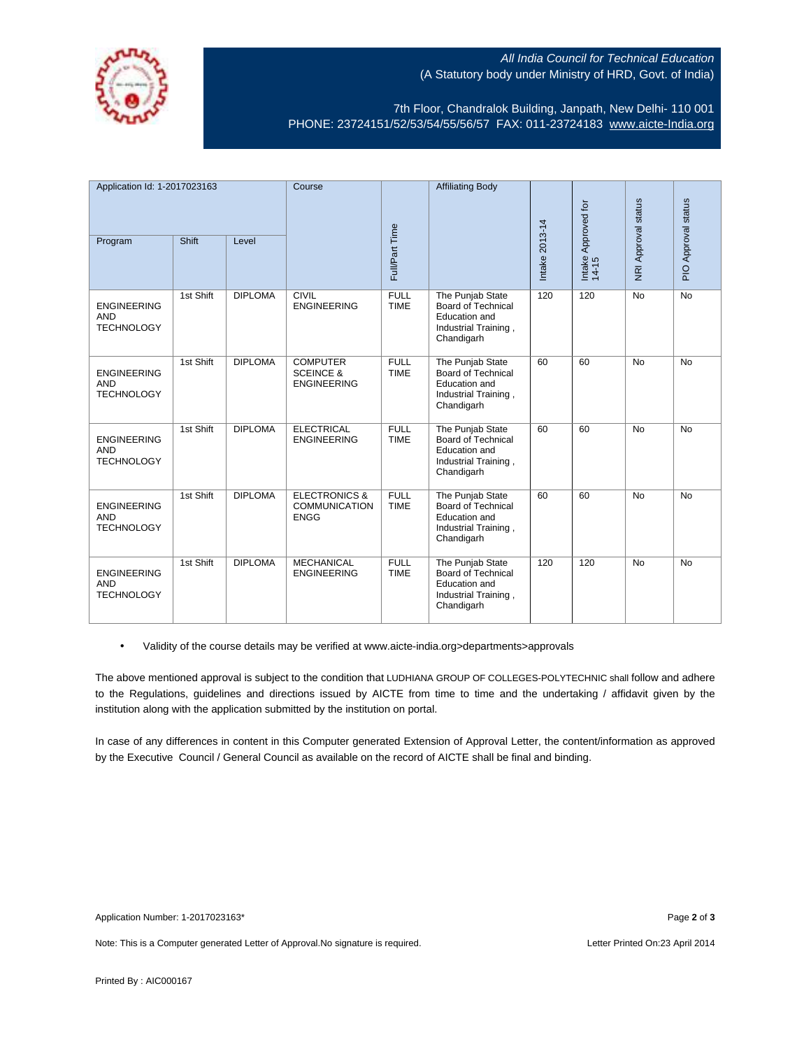

7th Floor, Chandralok Building, Janpath, New Delhi- 110 001 PHONE: 23724151/52/53/54/55/56/57 FAX: 011-23724183 [www.aicte-India.org](http://www.aicte-india.org/)

| Application Id: 1-2017023163                          |           |                | Course                                                          |                            | <b>Affiliating Body</b>                                                                                     |                |                              |                     |                     |
|-------------------------------------------------------|-----------|----------------|-----------------------------------------------------------------|----------------------------|-------------------------------------------------------------------------------------------------------------|----------------|------------------------------|---------------------|---------------------|
|                                                       |           |                |                                                                 |                            |                                                                                                             |                |                              |                     |                     |
| Program                                               | Shift     | Level          |                                                                 | Full/Part Time             |                                                                                                             | Intake 2013-14 | Intake Approved for<br>14-15 | NRI Approval status | PIO Approval status |
| <b>ENGINEERING</b><br><b>AND</b><br><b>TECHNOLOGY</b> | 1st Shift | <b>DIPLOMA</b> | <b>CIVIL</b><br><b>ENGINEERING</b>                              | <b>FULL</b><br><b>TIME</b> | The Punjab State<br><b>Board of Technical</b><br><b>Education</b> and<br>Industrial Training,<br>Chandigarh | 120            | 120                          | <b>No</b>           | <b>No</b>           |
| <b>ENGINEERING</b><br><b>AND</b><br><b>TECHNOLOGY</b> | 1st Shift | <b>DIPLOMA</b> | <b>COMPUTER</b><br><b>SCEINCE &amp;</b><br><b>ENGINEERING</b>   | <b>FULL</b><br><b>TIME</b> | The Punjab State<br><b>Board of Technical</b><br>Education and<br>Industrial Training,<br>Chandigarh        | 60             | 60                           | <b>No</b>           | <b>No</b>           |
| <b>ENGINEERING</b><br><b>AND</b><br><b>TECHNOLOGY</b> | 1st Shift | <b>DIPLOMA</b> | <b>ELECTRICAL</b><br><b>ENGINEERING</b>                         | <b>FULL</b><br><b>TIME</b> | The Punjab State<br><b>Board of Technical</b><br><b>Education</b> and<br>Industrial Training,<br>Chandigarh | 60             | 60                           | <b>No</b>           | No                  |
| <b>ENGINEERING</b><br><b>AND</b><br><b>TECHNOLOGY</b> | 1st Shift | <b>DIPLOMA</b> | <b>ELECTRONICS &amp;</b><br><b>COMMUNICATION</b><br><b>ENGG</b> | <b>FULL</b><br><b>TIME</b> | The Punjab State<br>Board of Technical<br>Education and<br>Industrial Training,<br>Chandigarh               | 60             | 60                           | <b>No</b>           | <b>No</b>           |
| <b>ENGINEERING</b><br><b>AND</b><br><b>TECHNOLOGY</b> | 1st Shift | <b>DIPLOMA</b> | <b>MECHANICAL</b><br><b>ENGINEERING</b>                         | <b>FULL</b><br><b>TIME</b> | The Punjab State<br><b>Board of Technical</b><br><b>Education</b> and<br>Industrial Training,<br>Chandigarh | 120            | 120                          | <b>No</b>           | No                  |

• Validity of the course details may be verified at www.aicte-india.org>departments>approvals

The above mentioned approval is subject to the condition that LUDHIANA GROUP OF COLLEGES-POLYTECHNIC shall follow and adhere to the Regulations, guidelines and directions issued by AICTE from time to time and the undertaking / affidavit given by the institution along with the application submitted by the institution on portal.

In case of any differences in content in this Computer generated Extension of Approval Letter, the content/information as approved by the Executive Council / General Council as available on the record of AICTE shall be final and binding.

Note: This is a Computer generated Letter of Approval. No signature is required. Letter Printed On:23 April 2014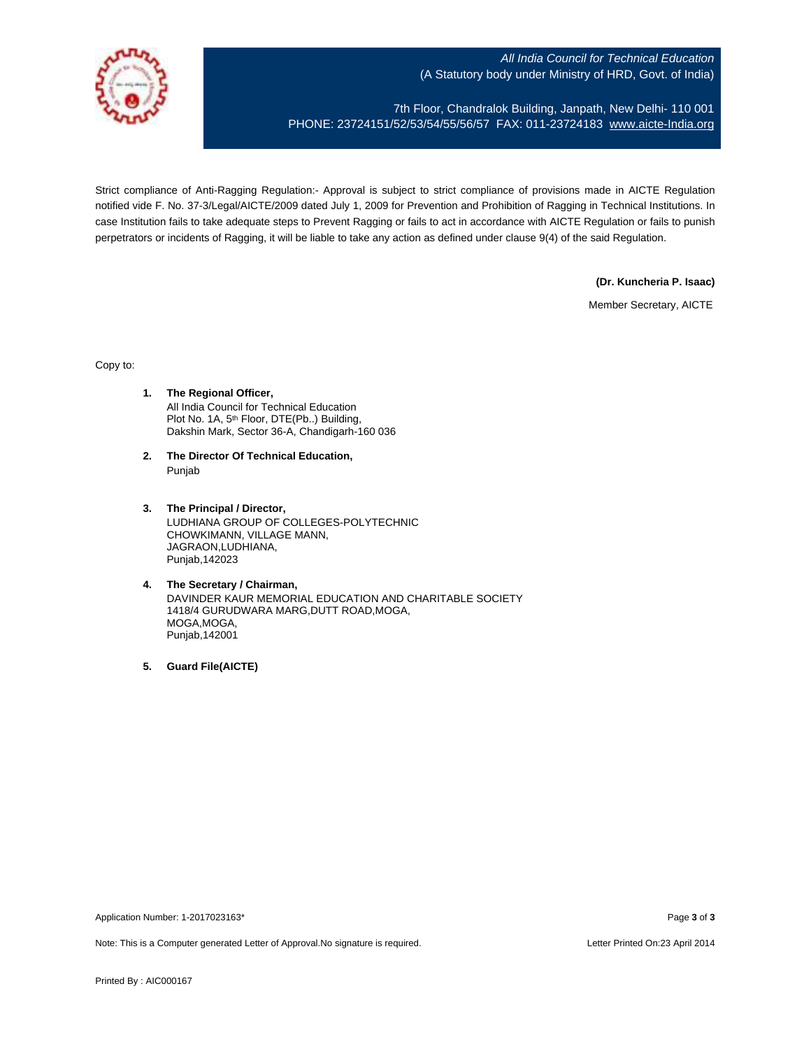

7th Floor, Chandralok Building, Janpath, New Delhi- 110 001 PHONE: 23724151/52/53/54/55/56/57 FAX: 011-23724183 [www.aicte-India.org](http://www.aicte-india.org/)

Strict compliance of Anti-Ragging Regulation:- Approval is subject to strict compliance of provisions made in AICTE Regulation notified vide F. No. 37-3/Legal/AICTE/2009 dated July 1, 2009 for Prevention and Prohibition of Ragging in Technical Institutions. In case Institution fails to take adequate steps to Prevent Ragging or fails to act in accordance with AICTE Regulation or fails to punish perpetrators or incidents of Ragging, it will be liable to take any action as defined under clause 9(4) of the said Regulation.

**(Dr. Kuncheria P. Isaac)**

Member Secretary, AICTE

Copy to:

- **1. The Regional Officer,** All India Council for Technical Education Plot No. 1A, 5<sup>th</sup> Floor, DTE(Pb..) Building, Dakshin Mark, Sector 36-A, Chandigarh-160 036
- **2. The Director Of Technical Education,** Punjab
- **3. The Principal / Director,** LUDHIANA GROUP OF COLLEGES-POLYTECHNIC CHOWKIMANN, VILLAGE MANN, JAGRAON,LUDHIANA, Punjab,142023
- **4. The Secretary / Chairman,** DAVINDER KAUR MEMORIAL EDUCATION AND CHARITABLE SOCIETY 1418/4 GURUDWARA MARG,DUTT ROAD,MOGA, MOGA,MOGA, Punjab,142001
- **5. Guard File(AICTE)**

Application Number: 1-2017023163\* Page **3** of **3**

Note: This is a Computer generated Letter of Approval.No signature is required. Letter According the state of Approval.No signature is required.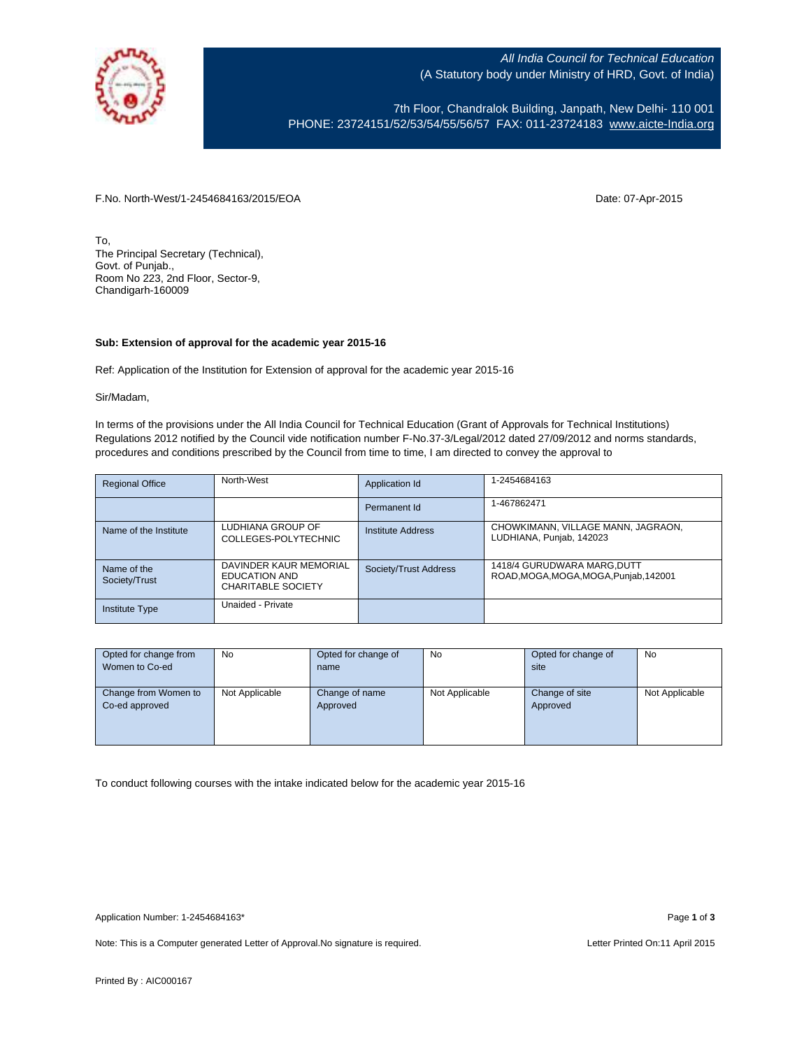

7th Floor, Chandralok Building, Janpath, New Delhi- 110 001 PHONE: 23724151/52/53/54/55/56/57 FAX: 011-23724183 [www.aicte-India.org](http://www.aicte-india.org/)

F.No. North-West/1-2454684163/2015/EOA Date: 07-Apr-2015

To, The Principal Secretary (Technical), Govt. of Punjab., Room No 223, 2nd Floor, Sector-9, Chandigarh-160009

#### **Sub: Extension of approval for the academic year 2015-16**

Ref: Application of the Institution for Extension of approval for the academic year 2015-16

Sir/Madam,

In terms of the provisions under the All India Council for Technical Education (Grant of Approvals for Technical Institutions) Regulations 2012 notified by the Council vide notification number F-No.37-3/Legal/2012 dated 27/09/2012 and norms standards, procedures and conditions prescribed by the Council from time to time, I am directed to convey the approval to

| <b>Regional Office</b>       | North-West                                                           | Application Id        | 1-2454684163                                                          |
|------------------------------|----------------------------------------------------------------------|-----------------------|-----------------------------------------------------------------------|
|                              |                                                                      | Permanent Id          | 1-467862471                                                           |
| Name of the Institute        | LUDHIANA GROUP OF<br>COLLEGES-POLYTECHNIC                            | Institute Address     | CHOWKIMANN, VILLAGE MANN, JAGRAON,<br>LUDHIANA, Punjab, 142023        |
| Name of the<br>Society/Trust | DAVINDER KAUR MEMORIAL<br>EDUCATION AND<br><b>CHARITABLE SOCIETY</b> | Society/Trust Address | 1418/4 GURUDWARA MARG, DUTT<br>ROAD, MOGA, MOGA, MOGA, Punjab, 142001 |
| Institute Type               | Unaided - Private                                                    |                       |                                                                       |

| Opted for change from | No             | Opted for change of | No             | Opted for change of | No             |
|-----------------------|----------------|---------------------|----------------|---------------------|----------------|
| Women to Co-ed        |                | name                |                | site                |                |
|                       |                |                     |                |                     |                |
| Change from Women to  | Not Applicable | Change of name      | Not Applicable | Change of site      | Not Applicable |
| Co-ed approved        |                | Approved            |                | Approved            |                |
|                       |                |                     |                |                     |                |
|                       |                |                     |                |                     |                |
|                       |                |                     |                |                     |                |

To conduct following courses with the intake indicated below for the academic year 2015-16

Note: This is a Computer generated Letter of Approval. No signature is required. Letter Printed On:11 April 2015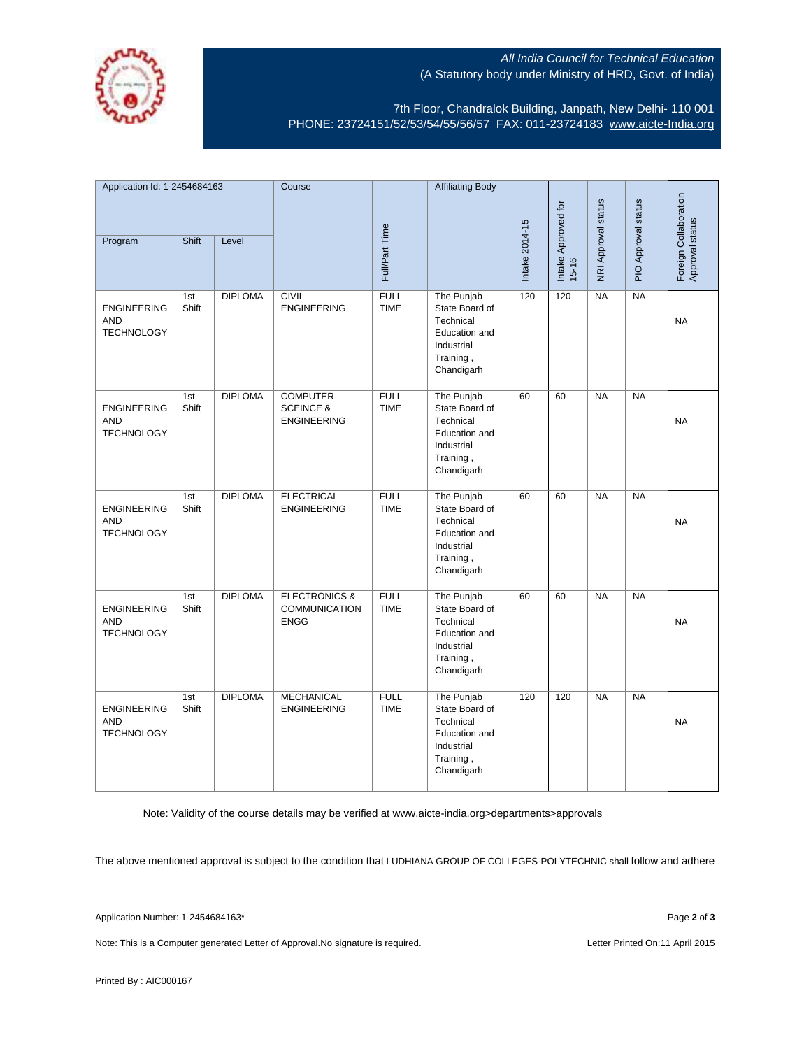

7th Floor, Chandralok Building, Janpath, New Delhi- 110 001 PHONE: 23724151/52/53/54/55/56/57 FAX: 011-23724183 [www.aicte-India.org](http://www.aicte-india.org/)

| Application Id: 1-2454684163                          |              |                | Course                                                        |                            | <b>Affiliating Body</b>                                                                                    |                |                                  |                     |                     |                                          |
|-------------------------------------------------------|--------------|----------------|---------------------------------------------------------------|----------------------------|------------------------------------------------------------------------------------------------------------|----------------|----------------------------------|---------------------|---------------------|------------------------------------------|
|                                                       |              |                |                                                               |                            |                                                                                                            |                |                                  |                     |                     |                                          |
| Program                                               | Shift        | Level          |                                                               | Full/Part Time             |                                                                                                            | Intake 2014-15 | Intake Approved for<br>$15 - 16$ | NRI Approval status | PIO Approval status | Foreign Collaboration<br>Approval status |
| <b>ENGINEERING</b><br><b>AND</b><br><b>TECHNOLOGY</b> | 1st<br>Shift | <b>DIPLOMA</b> | <b>CIVIL</b><br><b>ENGINEERING</b>                            | <b>FULL</b><br><b>TIME</b> | The Punjab<br>State Board of<br>Technical<br><b>Education and</b><br>Industrial<br>Training,<br>Chandigarh | 120            | 120                              | NA                  | NA                  | <b>NA</b>                                |
| <b>ENGINEERING</b><br><b>AND</b><br><b>TECHNOLOGY</b> | 1st<br>Shift | <b>DIPLOMA</b> | <b>COMPUTER</b><br><b>SCEINCE &amp;</b><br><b>ENGINEERING</b> | <b>FULL</b><br><b>TIME</b> | The Punjab<br>State Board of<br>Technical<br>Education and<br>Industrial<br>Training,<br>Chandigarh        | 60             | 60                               | <b>NA</b>           | <b>NA</b>           | <b>NA</b>                                |
| <b>ENGINEERING</b><br><b>AND</b><br><b>TECHNOLOGY</b> | 1st<br>Shift | <b>DIPLOMA</b> | <b>ELECTRICAL</b><br><b>ENGINEERING</b>                       | <b>FULL</b><br><b>TIME</b> | The Punjab<br>State Board of<br>Technical<br>Education and<br>Industrial<br>Training,<br>Chandigarh        | 60             | 60                               | <b>NA</b>           | <b>NA</b>           | <b>NA</b>                                |
| <b>ENGINEERING</b><br><b>AND</b><br><b>TECHNOLOGY</b> | 1st<br>Shift | <b>DIPLOMA</b> | <b>ELECTRONICS &amp;</b><br>COMMUNICATION<br><b>ENGG</b>      | <b>FULL</b><br><b>TIME</b> | The Punjab<br>State Board of<br>Technical<br><b>Education and</b><br>Industrial<br>Training,<br>Chandigarh | 60             | 60                               | <b>NA</b>           | NA                  | <b>NA</b>                                |
| <b>ENGINEERING</b><br><b>AND</b><br><b>TECHNOLOGY</b> | 1st<br>Shift | <b>DIPLOMA</b> | <b>MECHANICAL</b><br><b>ENGINEERING</b>                       | <b>FULL</b><br><b>TIME</b> | The Punjab<br>State Board of<br>Technical<br>Education and<br>Industrial<br>Training,<br>Chandigarh        | 120            | 120                              | <b>NA</b>           | <b>NA</b>           | <b>NA</b>                                |

Note: Validity of the course details may be verified at www.aicte-india.org>departments>approvals

The above mentioned approval is subject to the condition that LUDHIANA GROUP OF COLLEGES-POLYTECHNIC shall follow and adhere

Application Number: 1-2454684163\* Page **2** of **3**

Note: This is a Computer generated Letter of Approval. No signature is required. Letter Printed On:11 April 2015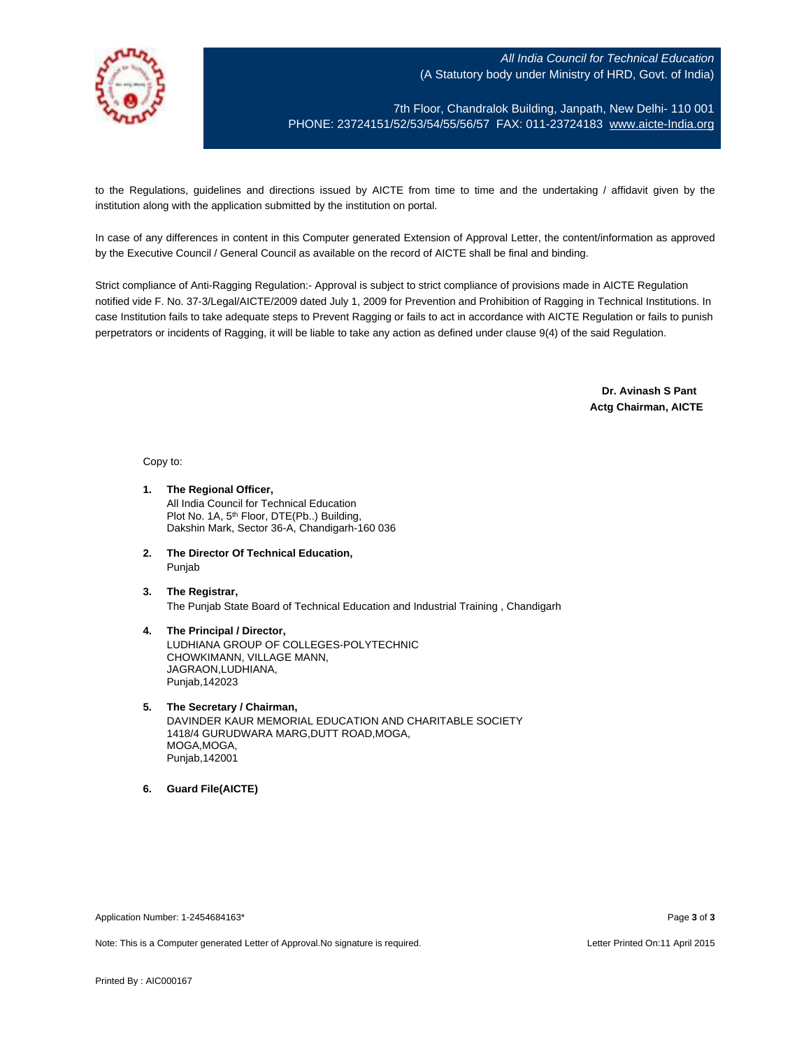

7th Floor, Chandralok Building, Janpath, New Delhi- 110 001 PHONE: 23724151/52/53/54/55/56/57 FAX: 011-23724183 [www.aicte-India.org](http://www.aicte-india.org/)

to the Regulations, guidelines and directions issued by AICTE from time to time and the undertaking / affidavit given by the institution along with the application submitted by the institution on portal.

In case of any differences in content in this Computer generated Extension of Approval Letter, the content/information as approved by the Executive Council / General Council as available on the record of AICTE shall be final and binding.

Strict compliance of Anti-Ragging Regulation:- Approval is subject to strict compliance of provisions made in AICTE Regulation notified vide F. No. 37-3/Legal/AICTE/2009 dated July 1, 2009 for Prevention and Prohibition of Ragging in Technical Institutions. In case Institution fails to take adequate steps to Prevent Ragging or fails to act in accordance with AICTE Regulation or fails to punish perpetrators or incidents of Ragging, it will be liable to take any action as defined under clause 9(4) of the said Regulation.

> **Dr. Avinash S Pant Actg Chairman, AICTE**

Copy to:

- **1. The Regional Officer,** All India Council for Technical Education Plot No. 1A, 5<sup>th</sup> Floor, DTE(Pb..) Building, Dakshin Mark, Sector 36-A, Chandigarh-160 036
- **2. The Director Of Technical Education,** Punjab
- **3. The Registrar,** The Punjab State Board of Technical Education and Industrial Training , Chandigarh
- **4. The Principal / Director,** LUDHIANA GROUP OF COLLEGES-POLYTECHNIC CHOWKIMANN, VILLAGE MANN, JAGRAON,LUDHIANA, Punjab,142023
- **5. The Secretary / Chairman,** DAVINDER KAUR MEMORIAL EDUCATION AND CHARITABLE SOCIETY 1418/4 GURUDWARA MARG,DUTT ROAD,MOGA, MOGA,MOGA, Punjab,142001
- **6. Guard File(AICTE)**

Application Number: 1-2454684163\* Page **3** of **3**

Note: This is a Computer generated Letter of Approval.No signature is required. Letter According the state of the Letter Printed On:11 April 2015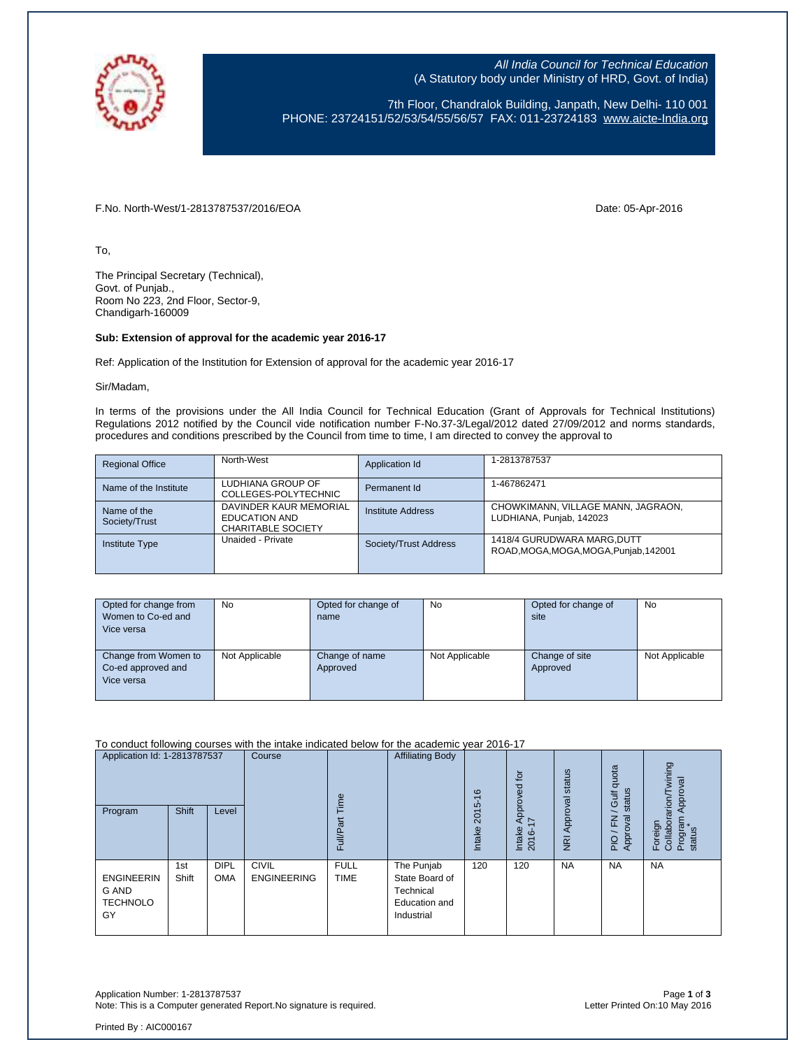

7th Floor, Chandralok Building, Janpath, New Delhi- 110 001 PHONE: 23724151/52/53/54/55/56/57 FAX: 011-23724183 [www.aicte-India.org](http://www.aicte-india.org/)

F.No. North-West/1-2813787537/2016/EOA Date: 05-Apr-2016

To,

The Principal Secretary (Technical), Govt. of Punjab., Room No 223, 2nd Floor, Sector-9, Chandigarh-160009

#### **Sub: Extension of approval for the academic year 2016-17**

Ref: Application of the Institution for Extension of approval for the academic year 2016-17

Sir/Madam,

In terms of the provisions under the All India Council for Technical Education (Grant of Approvals for Technical Institutions) Regulations 2012 notified by the Council vide notification number F-No.37-3/Legal/2012 dated 27/09/2012 and norms standards, procedures and conditions prescribed by the Council from time to time, I am directed to convey the approval to

| <b>Regional Office</b>       | North-West                                                           | Application Id        | 1-2813787537                                                         |
|------------------------------|----------------------------------------------------------------------|-----------------------|----------------------------------------------------------------------|
| Name of the Institute        | LUDHIANA GROUP OF<br>COLLEGES-POLYTECHNIC                            | Permanent Id          | 1-467862471                                                          |
| Name of the<br>Society/Trust | DAVINDER KAUR MEMORIAL<br>EDUCATION AND<br><b>CHARITABLE SOCIETY</b> | Institute Address     | CHOWKIMANN, VILLAGE MANN, JAGRAON,<br>LUDHIANA, Punjab, 142023       |
| <b>Institute Type</b>        | Unaided - Private                                                    | Society/Trust Address | 1418/4 GURUDWARA MARG.DUTT<br>ROAD, MOGA, MOGA, MOGA, Punjab, 142001 |

| Opted for change from<br>Women to Co-ed and<br>Vice versa | No             | Opted for change of<br>name | <b>No</b>      | Opted for change of<br>site | No             |
|-----------------------------------------------------------|----------------|-----------------------------|----------------|-----------------------------|----------------|
| Change from Women to<br>Co-ed approved and<br>Vice versa  | Not Applicable | Change of name<br>Approved  | Not Applicable | Change of site<br>Approved  | Not Applicable |

#### To conduct following courses with the intake indicated below for the academic year 2016-17

| Application Id: 1-2813787537<br>Program             | Shift        | Level                     | Course                             | ec<br>ull/Par<br>ш         | <b>Affiliating Body</b>                                                  | $\frac{6}{5}$<br>2015<br><b>Intake</b> | tor<br>ರ<br>rover<br>효<br>$\prec$<br>$\overline{\phantom{0}}$<br>Intake<br>2016- | Approval status<br>$\overline{g}$ | quota<br>status<br><b>Gulf</b><br>준<br>g<br>ō<br>24 | wining<br>Approval<br>arion/T<br>Foreign<br>Collabor<br>Program<br>status |
|-----------------------------------------------------|--------------|---------------------------|------------------------------------|----------------------------|--------------------------------------------------------------------------|----------------------------------------|----------------------------------------------------------------------------------|-----------------------------------|-----------------------------------------------------|---------------------------------------------------------------------------|
| <b>ENGINEERIN</b><br>G AND<br><b>TECHNOLO</b><br>GY | 1st<br>Shift | <b>DIPL</b><br><b>OMA</b> | <b>CIVIL</b><br><b>ENGINEERING</b> | <b>FULL</b><br><b>TIME</b> | The Punjab<br>State Board of<br>Technical<br>Education and<br>Industrial | 120                                    | 120                                                                              | <b>NA</b>                         | <b>NA</b>                                           | <b>NA</b>                                                                 |

Application Number: 1-2813787537 Page **1** of **3** Note: This is a Computer generated Report. No signature is required.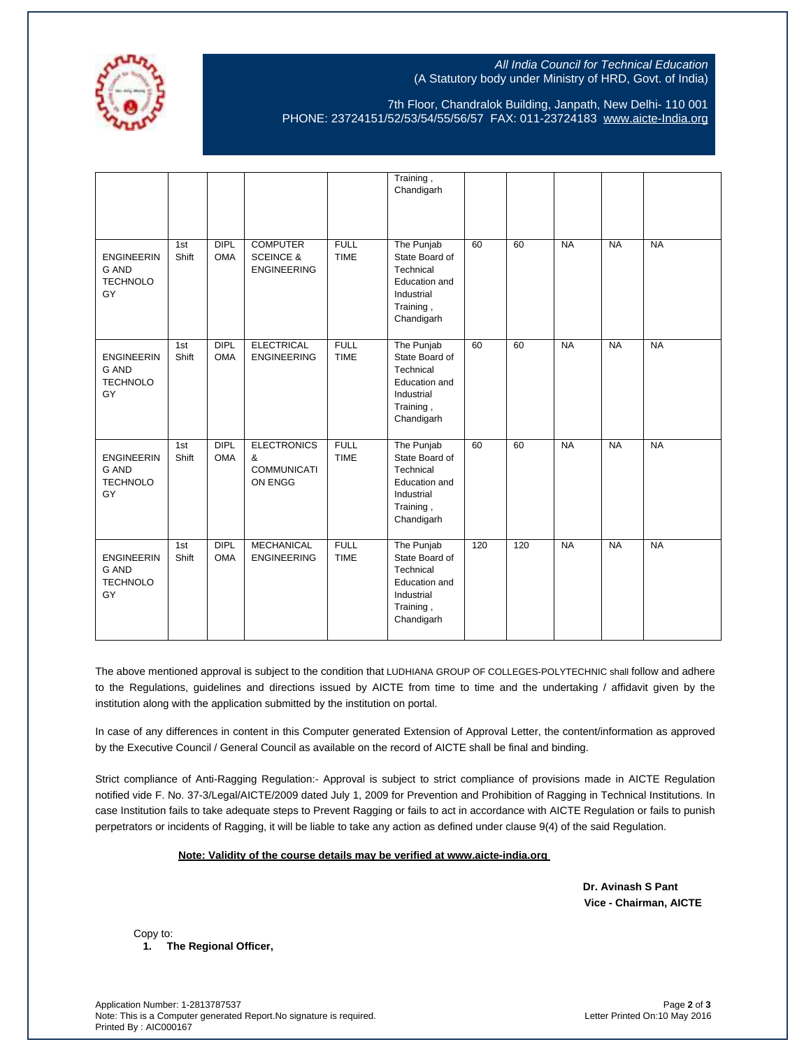

7th Floor, Chandralok Building, Janpath, New Delhi- 110 001 PHONE: 23724151/52/53/54/55/56/57 FAX: 011-23724183 [www.aicte-India.org](http://www.aicte-india.org/)

|                                                     |              |                           |                                                               |                            | Training,<br>Chandigarh                                                                                    |     |     |           |           |           |
|-----------------------------------------------------|--------------|---------------------------|---------------------------------------------------------------|----------------------------|------------------------------------------------------------------------------------------------------------|-----|-----|-----------|-----------|-----------|
| <b>ENGINEERIN</b><br>G AND<br><b>TECHNOLO</b><br>GY | 1st<br>Shift | <b>DIPL</b><br><b>OMA</b> | <b>COMPUTER</b><br><b>SCEINCE &amp;</b><br><b>ENGINEERING</b> | <b>FULL</b><br><b>TIME</b> | The Punjab<br>State Board of<br>Technical<br>Education and<br>Industrial<br>Training,<br>Chandigarh        | 60  | 60  | <b>NA</b> | <b>NA</b> | <b>NA</b> |
| <b>ENGINEERIN</b><br>G AND<br><b>TECHNOLO</b><br>GY | 1st<br>Shift | <b>DIPL</b><br><b>OMA</b> | <b>ELECTRICAL</b><br><b>ENGINEERING</b>                       | <b>FULL</b><br><b>TIME</b> | The Punjab<br>State Board of<br>Technical<br>Education and<br>Industrial<br>Training,<br>Chandigarh        | 60  | 60  | <b>NA</b> | <b>NA</b> | <b>NA</b> |
| <b>ENGINEERIN</b><br>G AND<br><b>TECHNOLO</b><br>GY | 1st<br>Shift | <b>DIPL</b><br><b>OMA</b> | <b>ELECTRONICS</b><br>&<br><b>COMMUNICATI</b><br>ON ENGG      | <b>FULL</b><br><b>TIME</b> | The Punjab<br>State Board of<br>Technical<br><b>Education</b> and<br>Industrial<br>Training,<br>Chandigarh | 60  | 60  | <b>NA</b> | <b>NA</b> | <b>NA</b> |
| <b>ENGINEERIN</b><br>G AND<br><b>TECHNOLO</b><br>GY | 1st<br>Shift | <b>DIPL</b><br><b>OMA</b> | <b>MECHANICAL</b><br><b>ENGINEERING</b>                       | <b>FULL</b><br><b>TIME</b> | The Punjab<br>State Board of<br>Technical<br>Education and<br>Industrial<br>Training,<br>Chandigarh        | 120 | 120 | <b>NA</b> | <b>NA</b> | <b>NA</b> |

The above mentioned approval is subject to the condition that LUDHIANA GROUP OF COLLEGES-POLYTECHNIC shall follow and adhere to the Regulations, guidelines and directions issued by AICTE from time to time and the undertaking / affidavit given by the institution along with the application submitted by the institution on portal.

In case of any differences in content in this Computer generated Extension of Approval Letter, the content/information as approved by the Executive Council / General Council as available on the record of AICTE shall be final and binding.

Strict compliance of Anti-Ragging Regulation:- Approval is subject to strict compliance of provisions made in AICTE Regulation notified vide F. No. 37-3/Legal/AICTE/2009 dated July 1, 2009 for Prevention and Prohibition of Ragging in Technical Institutions. In case Institution fails to take adequate steps to Prevent Ragging or fails to act in accordance with AICTE Regulation or fails to punish perpetrators or incidents of Ragging, it will be liable to take any action as defined under clause 9(4) of the said Regulation.

#### **Note: Validity of the course details may be verified at www.aicte-india.org**

 **Dr. Avinash S Pant Vice - Chairman, AICTE**

 Copy to: **1. The Regional Officer,**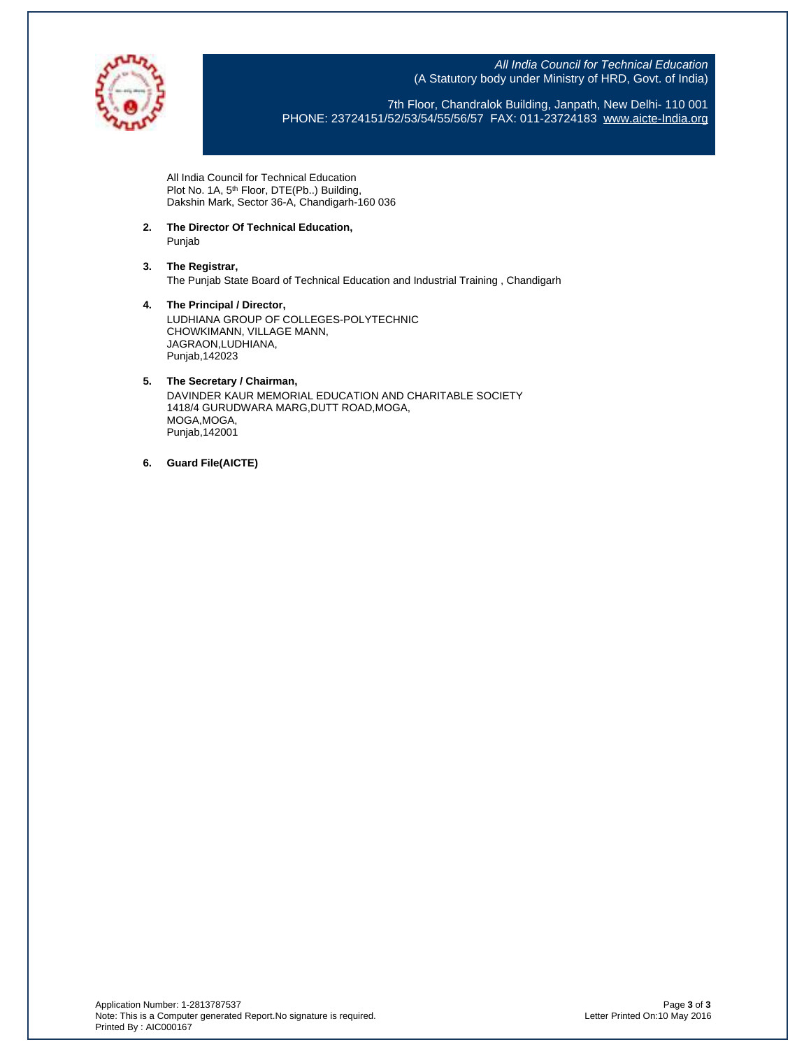

7th Floor, Chandralok Building, Janpath, New Delhi- 110 001 PHONE: 23724151/52/53/54/55/56/57 FAX: 011-23724183 [www.aicte-India.org](http://www.aicte-india.org/)

All India Council for Technical Education Plot No. 1A, 5<sup>th</sup> Floor, DTE(Pb..) Building, Dakshin Mark, Sector 36-A, Chandigarh-160 036

- **2. The Director Of Technical Education,** Punjab
- **3. The Registrar,** The Punjab State Board of Technical Education and Industrial Training , Chandigarh
- **4. The Principal / Director,** LUDHIANA GROUP OF COLLEGES-POLYTECHNIC CHOWKIMANN, VILLAGE MANN, JAGRAON,LUDHIANA, Punjab,142023

# **5. The Secretary / Chairman,** DAVINDER KAUR MEMORIAL EDUCATION AND CHARITABLE SOCIETY

1418/4 GURUDWARA MARG,DUTT ROAD,MOGA, MOGA,MOGA, Punjab,142001

**6. Guard File(AICTE)**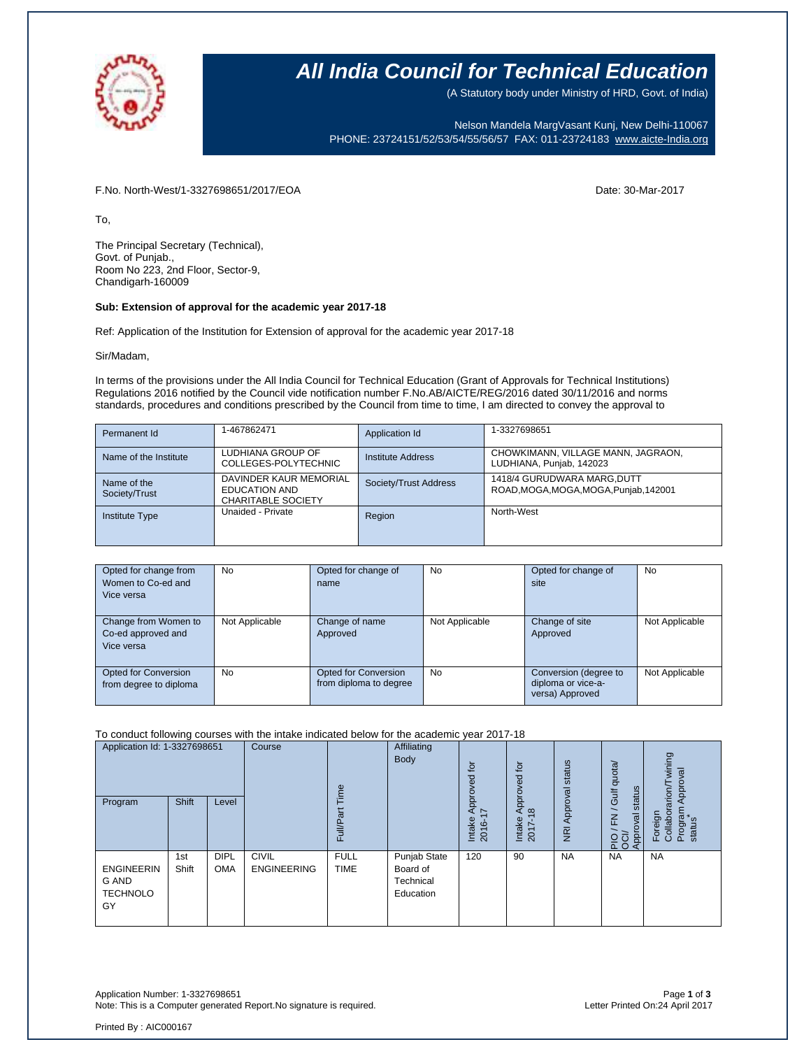

(A Statutory body under Ministry of HRD, Govt. of India)

Nelson Mandela MargVasant Kunj, New Delhi-110067 PHONE: 23724151/52/53/54/55/56/57 FAX: 011-23724183 [www.aicte-India.org](http://www.aicte-india.org/)

F.No. North-West/1-3327698651/2017/EOA Date: 30-Mar-2017

To,

The Principal Secretary (Technical), Govt. of Punjab., Room No 223, 2nd Floor, Sector-9, Chandigarh-160009

#### **Sub: Extension of approval for the academic year 2017-18**

Ref: Application of the Institution for Extension of approval for the academic year 2017-18

Sir/Madam,

In terms of the provisions under the All India Council for Technical Education (Grant of Approvals for Technical Institutions) Regulations 2016 notified by the Council vide notification number F.No.AB/AICTE/REG/2016 dated 30/11/2016 and norms standards, procedures and conditions prescribed by the Council from time to time, I am directed to convey the approval to

| Permanent Id                 | 1-467862471                                                                 | Application Id        | 1-3327698651                                                          |
|------------------------------|-----------------------------------------------------------------------------|-----------------------|-----------------------------------------------------------------------|
| Name of the Institute        | LUDHIANA GROUP OF<br>COLLEGES-POLYTECHNIC                                   | Institute Address     | CHOWKIMANN, VILLAGE MANN, JAGRAON,<br>LUDHIANA, Punjab, 142023        |
| Name of the<br>Society/Trust | DAVINDER KAUR MEMORIAL<br><b>EDUCATION AND</b><br><b>CHARITABLE SOCIETY</b> | Society/Trust Address | 1418/4 GURUDWARA MARG, DUTT<br>ROAD, MOGA, MOGA, MOGA, Punjab, 142001 |
| <b>Institute Type</b>        | Unaided - Private                                                           | Region                | North-West                                                            |

| Opted for change from  | <b>No</b>      | Opted for change of    | <b>No</b>      | Opted for change of   | No             |
|------------------------|----------------|------------------------|----------------|-----------------------|----------------|
| Women to Co-ed and     |                | name                   |                | site                  |                |
| Vice versa             |                |                        |                |                       |                |
|                        |                |                        |                |                       |                |
| Change from Women to   | Not Applicable | Change of name         | Not Applicable | Change of site        | Not Applicable |
| Co-ed approved and     |                | Approved               |                | Approved              |                |
| Vice versa             |                |                        |                |                       |                |
|                        |                |                        |                |                       |                |
| Opted for Conversion   | No             | Opted for Conversion   | <b>No</b>      | Conversion (degree to | Not Applicable |
| from degree to diploma |                | from diploma to degree |                | diploma or vice-a-    |                |
|                        |                |                        |                | versa) Approved       |                |

#### To conduct following courses with the intake indicated below for the academic year 2017-18

| Application Id: 1-3327698651<br>Program             | Shift        | Level                     | Course                             | Time<br>Full/Part          | Affiliating<br>Body                                | tor<br>ිල<br>ම<br>Appro)<br>17<br>Intake<br>2016-1 | for<br>ರ<br>Q<br>ppro<br>$\infty$<br>Intake<br>2017- | status<br>Approval<br>$\overline{g}$ | quota/<br>status<br>/ Gulf<br>준<br>Approval<br>$\frac{5}{20}$ | wining<br>Approval<br>rarion/T<br>Program<br>Collabor<br>Foreign<br>status |
|-----------------------------------------------------|--------------|---------------------------|------------------------------------|----------------------------|----------------------------------------------------|----------------------------------------------------|------------------------------------------------------|--------------------------------------|---------------------------------------------------------------|----------------------------------------------------------------------------|
| <b>ENGINEERIN</b><br>G AND<br><b>TECHNOLO</b><br>GY | 1st<br>Shift | <b>DIPL</b><br><b>OMA</b> | <b>CIVIL</b><br><b>ENGINEERING</b> | <b>FULL</b><br><b>TIME</b> | Punjab State<br>Board of<br>Technical<br>Education | 120                                                | 90                                                   | <b>NA</b>                            | <b>NA</b>                                                     | <b>NA</b>                                                                  |

Application Number: 1-3327698651 Page **1** of **3** Note: This is a Computer generated Report.No signature is required.

Printed By : AIC000167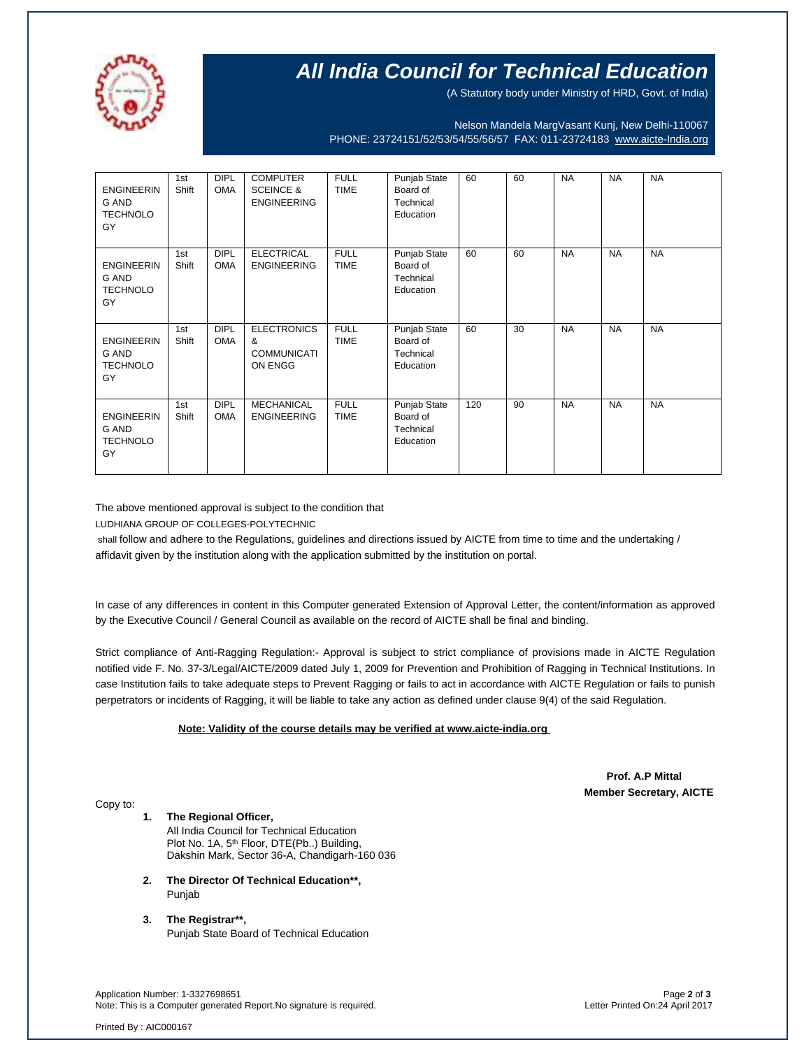

(A Statutory body under Ministry of HRD, Govt. of India)

Nelson Mandela MargVasant Kunj, New Delhi-110067 PHONE: 23724151/52/53/54/55/56/57 FAX: 011-23724183 [www.aicte-India.org](http://www.aicte-india.org/)

| <b>ENGINEERIN</b><br>G AND<br><b>TECHNOLO</b><br>GY        | 1st<br>Shift | <b>DIPL</b><br><b>OMA</b> | <b>COMPUTER</b><br><b>SCEINCE &amp;</b><br><b>ENGINEERING</b> | <b>FULL</b><br><b>TIME</b> | Punjab State<br>Board of<br>Technical<br>Education | 60  | 60 | <b>NA</b> | <b>NA</b> | <b>NA</b> |
|------------------------------------------------------------|--------------|---------------------------|---------------------------------------------------------------|----------------------------|----------------------------------------------------|-----|----|-----------|-----------|-----------|
| <b>ENGINEERIN</b><br><b>G AND</b><br><b>TECHNOLO</b><br>GY | 1st<br>Shift | <b>DIPL</b><br><b>OMA</b> | <b>ELECTRICAL</b><br><b>ENGINEERING</b>                       | <b>FULL</b><br><b>TIME</b> | Punjab State<br>Board of<br>Technical<br>Education | 60  | 60 | <b>NA</b> | <b>NA</b> | <b>NA</b> |
| <b>ENGINEERIN</b><br>G AND<br><b>TECHNOLO</b><br>GY        | 1st<br>Shift | <b>DIPL</b><br><b>OMA</b> | <b>ELECTRONICS</b><br>&<br><b>COMMUNICATI</b><br>ON ENGG      | <b>FULL</b><br><b>TIME</b> | Punjab State<br>Board of<br>Technical<br>Education | 60  | 30 | <b>NA</b> | <b>NA</b> | <b>NA</b> |
| <b>ENGINEERIN</b><br><b>G AND</b><br><b>TECHNOLO</b><br>GY | 1st<br>Shift | <b>DIPL</b><br><b>OMA</b> | <b>MECHANICAL</b><br><b>ENGINEERING</b>                       | <b>FULL</b><br><b>TIME</b> | Punjab State<br>Board of<br>Technical<br>Education | 120 | 90 | <b>NA</b> | <b>NA</b> | <b>NA</b> |

The above mentioned approval is subject to the condition that

LUDHIANA GROUP OF COLLEGES-POLYTECHNIC

shall follow and adhere to the Regulations, guidelines and directions issued by AICTE from time to time and the undertaking / affidavit given by the institution along with the application submitted by the institution on portal.

In case of any differences in content in this Computer generated Extension of Approval Letter, the content/information as approved by the Executive Council / General Council as available on the record of AICTE shall be final and binding.

Strict compliance of Anti-Ragging Regulation:- Approval is subject to strict compliance of provisions made in AICTE Regulation notified vide F. No. 37-3/Legal/AICTE/2009 dated July 1, 2009 for Prevention and Prohibition of Ragging in Technical Institutions. In case Institution fails to take adequate steps to Prevent Ragging or fails to act in accordance with AICTE Regulation or fails to punish perpetrators or incidents of Ragging, it will be liable to take any action as defined under clause 9(4) of the said Regulation.

#### **Note: Validity of the course details may be verified at www.aicte-india.org**

 **Prof. A.P Mittal Member Secretary, AICTE**

Copy to:

#### **1. The Regional Officer,**

All India Council for Technical Education Plot No. 1A, 5<sup>th</sup> Floor, DTE(Pb..) Building, Dakshin Mark, Sector 36-A, Chandigarh-160 036

- **2. The Director Of Technical Education\*\*,** Punjab
- **3. The Registrar\*\*,** Punjab State Board of Technical Education

Application Number: 1-3327698651 Page **2** of **3** Note: This is a Computer generated Report.No signature is required.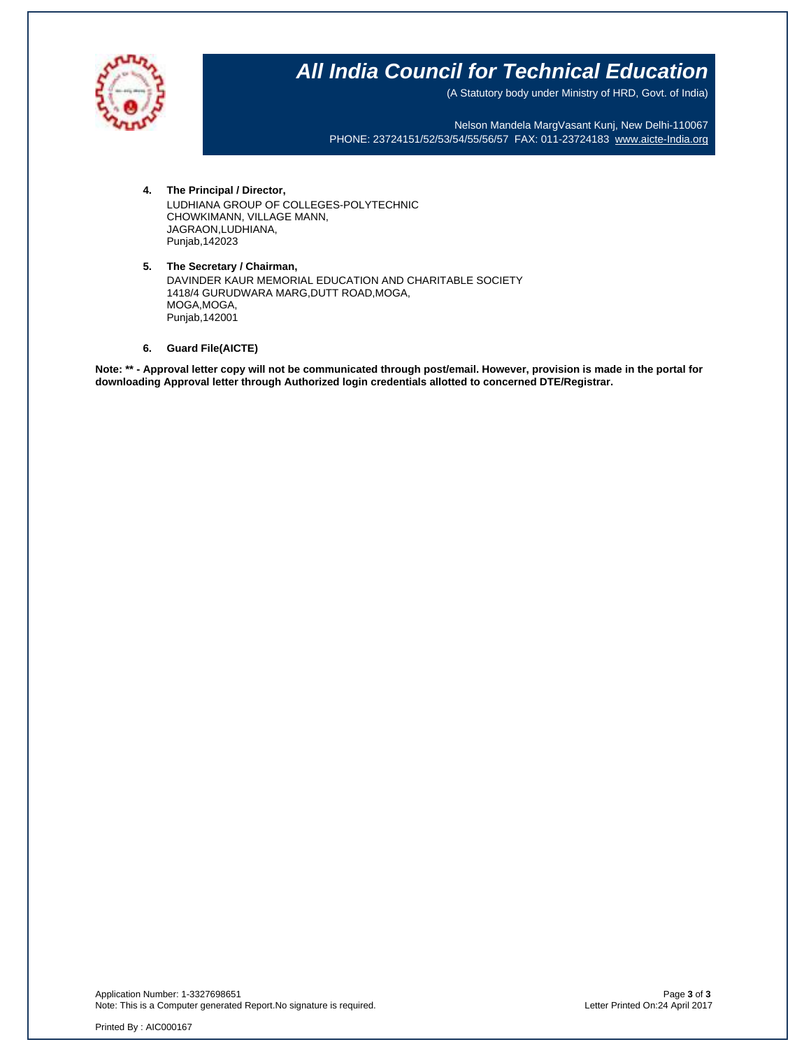

(A Statutory body under Ministry of HRD, Govt. of India)

Nelson Mandela MargVasant Kunj, New Delhi-110067 PHONE: 23724151/52/53/54/55/56/57 FAX: 011-23724183 [www.aicte-India.org](http://www.aicte-india.org/)

- **4. The Principal / Director,** LUDHIANA GROUP OF COLLEGES-POLYTECHNIC CHOWKIMANN, VILLAGE MANN, JAGRAON,LUDHIANA, Punjab,142023
- **5. The Secretary / Chairman,** DAVINDER KAUR MEMORIAL EDUCATION AND CHARITABLE SOCIETY 1418/4 GURUDWARA MARG,DUTT ROAD,MOGA, MOGA,MOGA, Punjab,142001
- **6. Guard File(AICTE)**

**Note: \*\* - Approval letter copy will not be communicated through post/email. However, provision is made in the portal for downloading Approval letter through Authorized login credentials allotted to concerned DTE/Registrar.**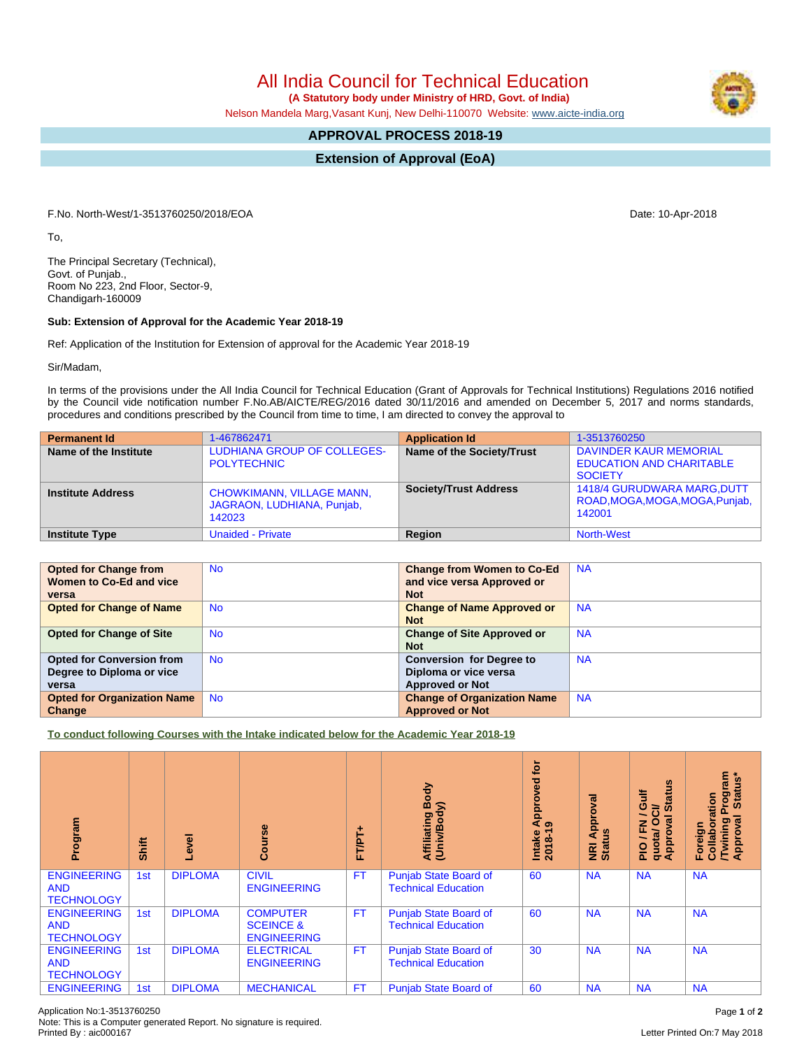**(A Statutory body under Ministry of HRD, Govt. of India)**

Nelson Mandela Marg,Vasant Kunj, New Delhi-110070 Website: [www.aicte-india.org](http://www.aicte-india.org)

# **APPROVAL PROCESS 2018-19**

**Extension of Approval (EoA)**

F.No. North-West/1-3513760250/2018/EOA Date: 10-Apr-2018

To,

The Principal Secretary (Technical), Govt. of Punjab., Room No 223, 2nd Floor, Sector-9, Chandigarh-160009

## **Sub: Extension of Approval for the Academic Year 2018-19**

Ref: Application of the Institution for Extension of approval for the Academic Year 2018-19

Sir/Madam,

In terms of the provisions under the All India Council for Technical Education (Grant of Approvals for Technical Institutions) Regulations 2016 notified by the Council vide notification number F.No.AB/AICTE/REG/2016 dated 30/11/2016 and amended on December 5, 2017 and norms standards, procedures and conditions prescribed by the Council from time to time, I am directed to convey the approval to

| <b>Permanent Id</b>      | 1-467862471                                                              | <b>Application Id</b>        | 1-3513760250                                                                    |
|--------------------------|--------------------------------------------------------------------------|------------------------------|---------------------------------------------------------------------------------|
| Name of the Institute    | <b>LUDHIANA GROUP OF COLLEGES-</b><br><b>POLYTECHNIC</b>                 | Name of the Society/Trust    | DAVINDER KAUR MEMORIAL<br><b>EDUCATION AND CHARITABLE</b><br><b>SOCIETY</b>     |
| <b>Institute Address</b> | <b>CHOWKIMANN, VILLAGE MANN,</b><br>JAGRAON, LUDHIANA, Punjab,<br>142023 | <b>Society/Trust Address</b> | <b>1418/4 GURUDWARA MARG, DUTT</b><br>ROAD, MOGA, MOGA, MOGA, Punjab,<br>142001 |
| <b>Institute Type</b>    | <b>Unaided - Private</b>                                                 | Region                       | <b>North-West</b>                                                               |

| <b>Opted for Change from</b>       | <b>No</b> | <b>Change from Women to Co-Ed</b>  | <b>NA</b> |
|------------------------------------|-----------|------------------------------------|-----------|
| Women to Co-Ed and vice            |           | and vice versa Approved or         |           |
| versa                              |           | <b>Not</b>                         |           |
| <b>Opted for Change of Name</b>    | <b>No</b> | <b>Change of Name Approved or</b>  | <b>NA</b> |
|                                    |           | <b>Not</b>                         |           |
| <b>Opted for Change of Site</b>    | <b>No</b> | <b>Change of Site Approved or</b>  | <b>NA</b> |
|                                    |           | <b>Not</b>                         |           |
| <b>Opted for Conversion from</b>   | <b>No</b> | <b>Conversion for Degree to</b>    | <b>NA</b> |
| Degree to Diploma or vice          |           | Diploma or vice versa              |           |
| versa                              |           | <b>Approved or Not</b>             |           |
| <b>Opted for Organization Name</b> | <b>No</b> | <b>Change of Organization Name</b> | <b>NA</b> |
| Change                             |           | <b>Approved or Not</b>             |           |

**To conduct following Courses with the Intake indicated below for the Academic Year 2018-19**

| Program                                               | Shift           | Level          | rse<br>اتا ہے<br>ت                                            | FTPT+     | Body<br>Affiliating Book<br>(Univ/Body)                    | tor<br>yed<br>ppro<br>⋜<br>െ<br>$2018 - 1$<br>Intake | Approval<br><b>Status</b><br>$\overline{R}$ | <b>Status</b><br>青<br>ō<br>້៰<br>∽<br>0<br>g<br>준<br>quota/<br>Approv<br>$rac{O}{n}$ | <b>rogram</b><br>Status*<br>Collaboration<br>ख़<br><b>Twining</b><br>Approval<br>Foreign |
|-------------------------------------------------------|-----------------|----------------|---------------------------------------------------------------|-----------|------------------------------------------------------------|------------------------------------------------------|---------------------------------------------|--------------------------------------------------------------------------------------|------------------------------------------------------------------------------------------|
| <b>ENGINEERING</b><br><b>AND</b><br><b>TECHNOLOGY</b> | 1 <sub>st</sub> | <b>DIPLOMA</b> | <b>CIVIL</b><br><b>ENGINEERING</b>                            | <b>FT</b> | <b>Punjab State Board of</b><br><b>Technical Education</b> | 60                                                   | <b>NA</b>                                   | <b>NA</b>                                                                            | <b>NA</b>                                                                                |
| <b>ENGINEERING</b><br><b>AND</b><br><b>TECHNOLOGY</b> | 1st             | <b>DIPLOMA</b> | <b>COMPUTER</b><br><b>SCEINCE &amp;</b><br><b>ENGINEERING</b> | <b>FT</b> | <b>Punjab State Board of</b><br><b>Technical Education</b> | 60                                                   | <b>NA</b>                                   | <b>NA</b>                                                                            | <b>NA</b>                                                                                |
| <b>ENGINEERING</b><br><b>AND</b><br><b>TECHNOLOGY</b> | 1st             | <b>DIPLOMA</b> | <b>ELECTRICAL</b><br><b>ENGINEERING</b>                       | <b>FT</b> | <b>Punjab State Board of</b><br><b>Technical Education</b> | 30                                                   | <b>NA</b>                                   | <b>NA</b>                                                                            | <b>NA</b>                                                                                |
| <b>ENGINEERING</b>                                    | 1st             | <b>DIPLOMA</b> | <b>MECHANICAL</b>                                             | <b>FT</b> | <b>Punjab State Board of</b>                               | 60                                                   | <b>NA</b>                                   | <b>NA</b>                                                                            | <b>NA</b>                                                                                |

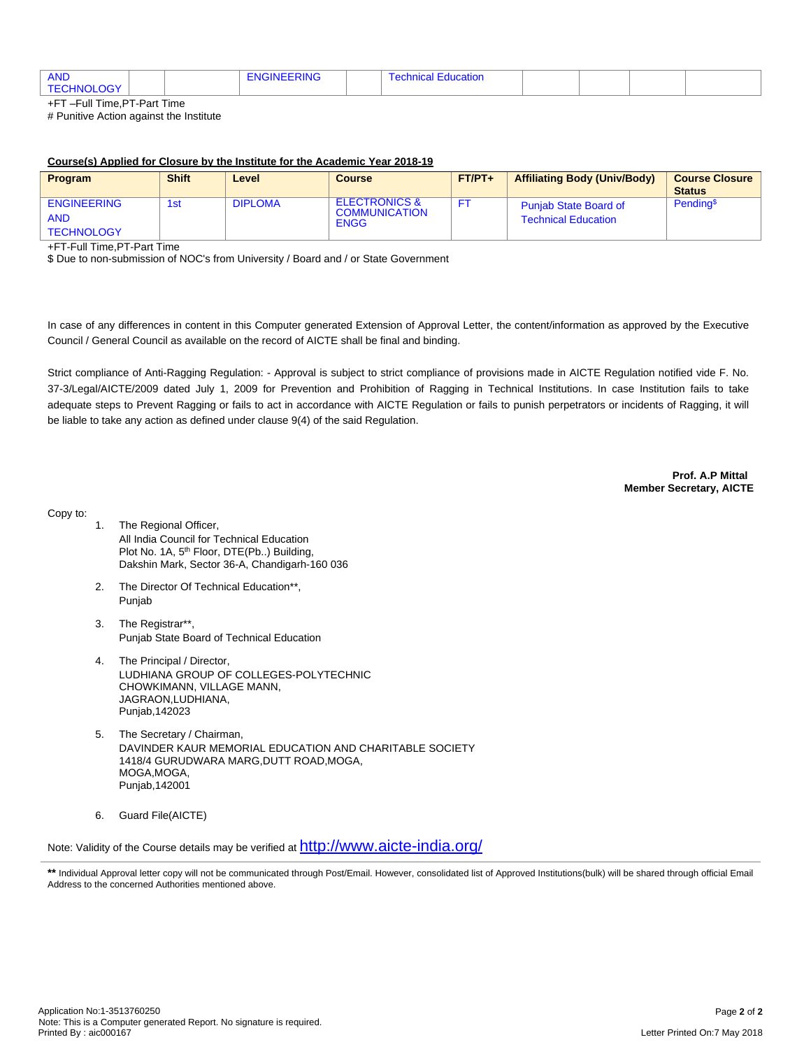| <b>AND</b><br>211117777117<br>. KING -<br>ገርነ<br>⊣N€ |  | ∵cation<br>nnic<br>i Gui |  |  |  |  |
|------------------------------------------------------|--|--------------------------|--|--|--|--|
|------------------------------------------------------|--|--------------------------|--|--|--|--|

+FT –Full Time,PT-Part Time # Punitive Action against the Institute

#### **Course(s) Applied for Closure by the Institute for the Academic Year 2018-19**

| Program                                               | <b>Shift</b> | Level          | <b>Course</b>                                                   | $FT/PT+$ | <b>Affiliating Body (Univ/Body)</b>                        | <b>Course Closure</b><br><b>Status</b> |
|-------------------------------------------------------|--------------|----------------|-----------------------------------------------------------------|----------|------------------------------------------------------------|----------------------------------------|
| <b>ENGINEERING</b><br><b>AND</b><br><b>TECHNOLOGY</b> | 1st          | <b>DIPLOMA</b> | <b>ELECTRONICS &amp;</b><br><b>COMMUNICATION</b><br><b>ENGG</b> |          | <b>Punjab State Board of</b><br><b>Technical Education</b> | Pending <sup>\$</sup>                  |

+FT-Full Time,PT-Part Time

\$ Due to non-submission of NOC's from University / Board and / or State Government

In case of any differences in content in this Computer generated Extension of Approval Letter, the content/information as approved by the Executive Council / General Council as available on the record of AICTE shall be final and binding.

Strict compliance of Anti-Ragging Regulation: - Approval is subject to strict compliance of provisions made in AICTE Regulation notified vide F. No. 37-3/Legal/AICTE/2009 dated July 1, 2009 for Prevention and Prohibition of Ragging in Technical Institutions. In case Institution fails to take adequate steps to Prevent Ragging or fails to act in accordance with AICTE Regulation or fails to punish perpetrators or incidents of Ragging, it will be liable to take any action as defined under clause 9(4) of the said Regulation.

> **Prof. A.P Mittal Member Secretary, AICTE**

Copy to:

- 1. The Regional Officer, All India Council for Technical Education Plot No. 1A, 5<sup>th</sup> Floor, DTE(Pb..) Building, Dakshin Mark, Sector 36-A, Chandigarh-160 036
- 2. The Director Of Technical Education\*\*, Punjab
- 3. The Registrar\*\*, Punjab State Board of Technical Education
- 4. The Principal / Director, LUDHIANA GROUP OF COLLEGES-POLYTECHNIC CHOWKIMANN, VILLAGE MANN, JAGRAON,LUDHIANA, Punjab,142023
- 5. The Secretary / Chairman, DAVINDER KAUR MEMORIAL EDUCATION AND CHARITABLE SOCIETY 1418/4 GURUDWARA MARG,DUTT ROAD,MOGA, MOGA,MOGA, Punjab,142001
- 6. Guard File(AICTE)

Note: Validity of the Course details may be verified at <http://www.aicte-india.org/>

<sup>\*\*</sup> Individual Approval letter copy will not be communicated through Post/Email. However, consolidated list of Approved Institutions(bulk) will be shared through official Email Address to the concerned Authorities mentioned above.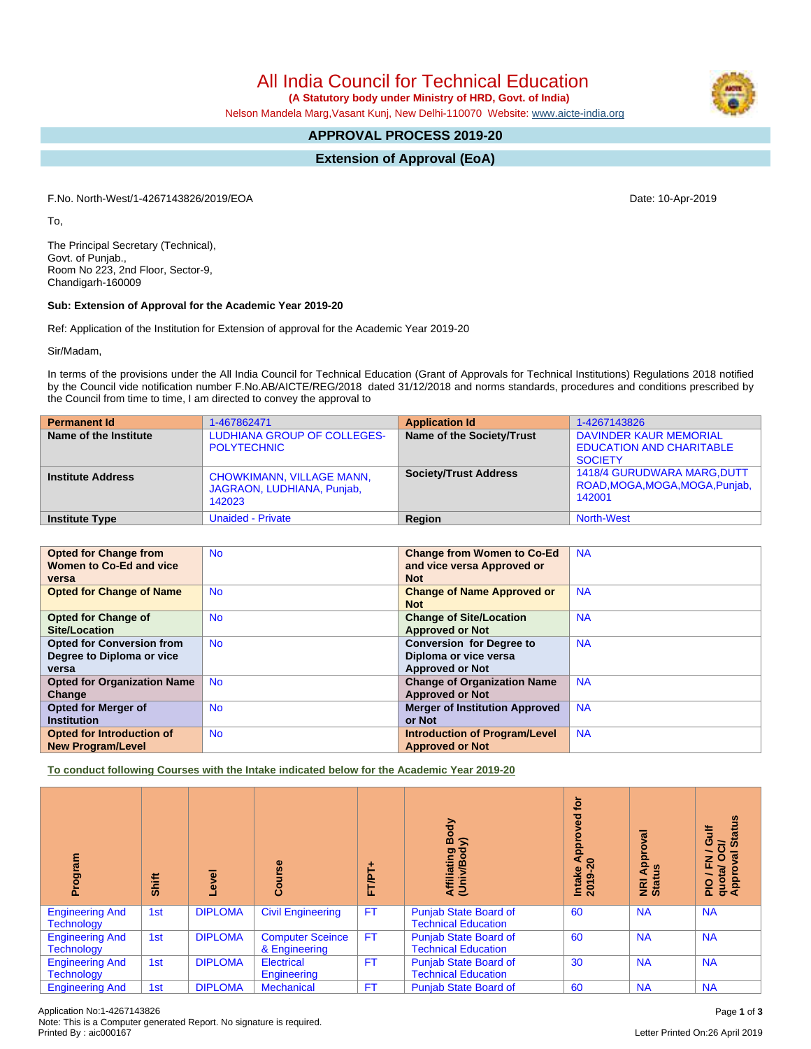**(A Statutory body under Ministry of HRD, Govt. of India)**

Nelson Mandela Marg,Vasant Kunj, New Delhi-110070 Website: [www.aicte-india.org](http://www.aicte-india.org)

# **APPROVAL PROCESS 2019-20**

**Extension of Approval (EoA)**

F.No. North-West/1-4267143826/2019/EOA Date: 10-Apr-2019

To,

The Principal Secretary (Technical), Govt. of Punjab., Room No 223, 2nd Floor, Sector-9, Chandigarh-160009

#### **Sub: Extension of Approval for the Academic Year 2019-20**

Ref: Application of the Institution for Extension of approval for the Academic Year 2019-20

Sir/Madam,

In terms of the provisions under the All India Council for Technical Education (Grant of Approvals for Technical Institutions) Regulations 2018 notified by the Council vide notification number F.No.AB/AICTE/REG/2018 dated 31/12/2018 and norms standards, procedures and conditions prescribed by the Council from time to time, I am directed to convey the approval to

| <b>Permanent Id</b>      | 1-467862471                                                              | <b>Application Id</b>        | 1-4267143826                                                                |
|--------------------------|--------------------------------------------------------------------------|------------------------------|-----------------------------------------------------------------------------|
| Name of the Institute    | <b>LUDHIANA GROUP OF COLLEGES-</b><br><b>POLYTECHNIC</b>                 | Name of the Society/Trust    | DAVINDER KAUR MEMORIAL<br><b>EDUCATION AND CHARITABLE</b><br><b>SOCIETY</b> |
| <b>Institute Address</b> | <b>CHOWKIMANN, VILLAGE MANN,</b><br>JAGRAON, LUDHIANA, Punjab,<br>142023 | <b>Society/Trust Address</b> | 1418/4 GURUDWARA MARG, DUTT<br>ROAD, MOGA, MOGA, MOGA, Punjab,<br>142001    |
| <b>Institute Type</b>    | <b>Unaided - Private</b>                                                 | Region                       | <b>North-West</b>                                                           |

| <b>Opted for Change from</b>       | <b>No</b> | <b>Change from Women to Co-Ed</b>     | <b>NA</b> |
|------------------------------------|-----------|---------------------------------------|-----------|
| Women to Co-Ed and vice            |           | and vice versa Approved or            |           |
| versa                              |           | <b>Not</b>                            |           |
| <b>Opted for Change of Name</b>    | <b>No</b> | <b>Change of Name Approved or</b>     | <b>NA</b> |
|                                    |           | <b>Not</b>                            |           |
| <b>Opted for Change of</b>         | <b>No</b> | <b>Change of Site/Location</b>        | <b>NA</b> |
| Site/Location                      |           | <b>Approved or Not</b>                |           |
| <b>Opted for Conversion from</b>   | <b>No</b> | <b>Conversion for Degree to</b>       | <b>NA</b> |
| Degree to Diploma or vice          |           | Diploma or vice versa                 |           |
| versa                              |           | <b>Approved or Not</b>                |           |
| <b>Opted for Organization Name</b> | <b>No</b> | <b>Change of Organization Name</b>    | <b>NA</b> |
| Change                             |           | <b>Approved or Not</b>                |           |
| <b>Opted for Merger of</b>         | <b>No</b> | <b>Merger of Institution Approved</b> | <b>NA</b> |
| <b>Institution</b>                 |           | or Not                                |           |
| <b>Opted for Introduction of</b>   | <b>No</b> | <b>Introduction of Program/Level</b>  | <b>NA</b> |
| <b>New Program/Level</b>           |           | <b>Approved or Not</b>                |           |

**To conduct following Courses with the Intake indicated below for the Academic Year 2019-20**

| rogram<br>ō                                 | Shift | Level          | Course                                   | ٠<br><b>FT/PT</b> | Body<br>≲<br>Affiliating<br>(Univ/Bod <sub>)</sub>         | <b>b</b><br>್ಠಾ<br>Ö<br>Appre<br>$\sim$<br>Intake<br>2019-2 | ζā<br>윤<br><b>NRI Ap</b><br>Status | <b>Status</b><br>ŧ<br>ō<br>ਰੋ<br>∽<br>ℼ<br>O<br>준<br>quota/<br>Approv<br>∽<br>$\frac{1}{2}$ |
|---------------------------------------------|-------|----------------|------------------------------------------|-------------------|------------------------------------------------------------|-------------------------------------------------------------|------------------------------------|---------------------------------------------------------------------------------------------|
| <b>Engineering And</b><br><b>Technology</b> | 1st   | <b>DIPLOMA</b> | <b>Civil Engineering</b>                 | <b>FT</b>         | <b>Punjab State Board of</b><br><b>Technical Education</b> | 60                                                          | <b>NA</b>                          | <b>NA</b>                                                                                   |
| <b>Engineering And</b><br><b>Technology</b> | 1st   | <b>DIPLOMA</b> | <b>Computer Sceince</b><br>& Engineering | <b>FT</b>         | Punjab State Board of<br><b>Technical Education</b>        | 60                                                          | <b>NA</b>                          | <b>NA</b>                                                                                   |
| <b>Engineering And</b><br><b>Technology</b> | 1st   | <b>DIPLOMA</b> | <b>Electrical</b><br>Engineering         | <b>FT</b>         | <b>Punjab State Board of</b><br><b>Technical Education</b> | 30                                                          | <b>NA</b>                          | <b>NA</b>                                                                                   |
| <b>Engineering And</b>                      | 1st   | <b>DIPLOMA</b> | <b>Mechanical</b>                        | FT.               | <b>Punjab State Board of</b>                               | 60                                                          | <b>NA</b>                          | <b>NA</b>                                                                                   |

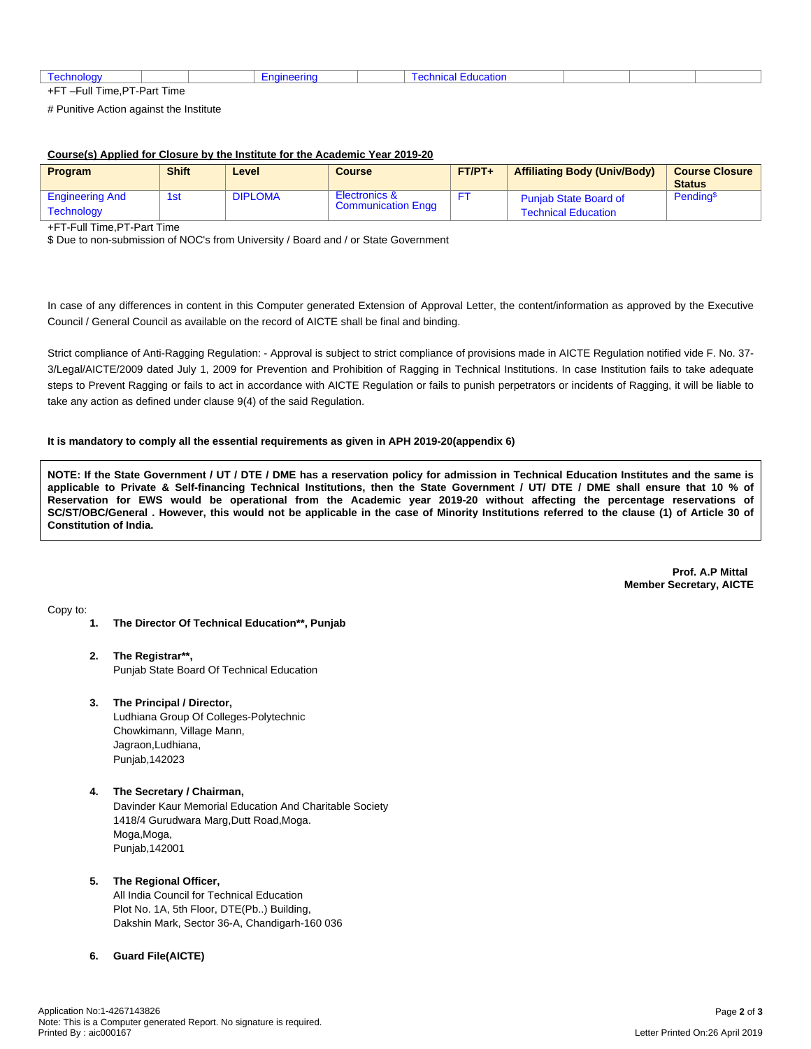|                                              |              |  | .<br>.<br>auvi |  |  |
|----------------------------------------------|--------------|--|----------------|--|--|
| $-1$ and $-1$<br>Time.F<br>- 111<br>÷г.<br>_ | PT-Part Time |  |                |  |  |

# Punitive Action against the Institute

### **Course(s) Applied for Closure by the Institute for the Academic Year 2019-20**

| <b>Program</b>                              | <b>Shift</b> | Level          | <b>Course</b>                              | $FT/PT+$ | <b>Affiliating Body (Univ/Body)</b>                        | <b>Course Closure</b><br><b>Status</b> |
|---------------------------------------------|--------------|----------------|--------------------------------------------|----------|------------------------------------------------------------|----------------------------------------|
| <b>Engineering And</b><br><b>Technology</b> | 1st          | <b>DIPLOMA</b> | Electronics &<br><b>Communication Engg</b> |          | <b>Punjab State Board of</b><br><b>Technical Education</b> | Pending <sup>\$</sup>                  |

+FT-Full Time,PT-Part Time

\$ Due to non-submission of NOC's from University / Board and / or State Government

In case of any differences in content in this Computer generated Extension of Approval Letter, the content/information as approved by the Executive Council / General Council as available on the record of AICTE shall be final and binding.

Strict compliance of Anti-Ragging Regulation: - Approval is subject to strict compliance of provisions made in AICTE Regulation notified vide F. No. 37- 3/Legal/AICTE/2009 dated July 1, 2009 for Prevention and Prohibition of Ragging in Technical Institutions. In case Institution fails to take adequate steps to Prevent Ragging or fails to act in accordance with AICTE Regulation or fails to punish perpetrators or incidents of Ragging, it will be liable to take any action as defined under clause 9(4) of the said Regulation.

#### **It is mandatory to comply all the essential requirements as given in APH 2019-20(appendix 6)**

NOTE: If the State Government / UT / DTE / DME has a reservation policy for admission in Technical Education Institutes and the same is applicable to Private & Self-financing Technical Institutions, then the State Government / UT/ DTE / DME shall ensure that 10 % of Reservation for EWS would be operational from the Academic year 2019-20 without affecting the percentage reservations of SC/ST/OBC/General . However, this would not be applicable in the case of Minority Institutions referred to the clause (1) of Article 30 of **Constitution of India.**

> **Prof. A.P Mittal Member Secretary, AICTE**

Copy to:

- **1. The Director Of Technical Education\*\*, Punjab**
- **2. The Registrar\*\*,** Punjab State Board Of Technical Education
- **3. The Principal / Director,**

Ludhiana Group Of Colleges-Polytechnic Chowkimann, Village Mann, Jagraon,Ludhiana, Punjab,142023

**4. The Secretary / Chairman,** Davinder Kaur Memorial Education And Charitable Society 1418/4 Gurudwara Marg,Dutt Road,Moga. Moga,Moga, Punjab,142001

## **5. The Regional Officer,**

All India Council for Technical Education Plot No. 1A, 5th Floor, DTE(Pb..) Building, Dakshin Mark, Sector 36-A, Chandigarh-160 036

## **6. Guard File(AICTE)**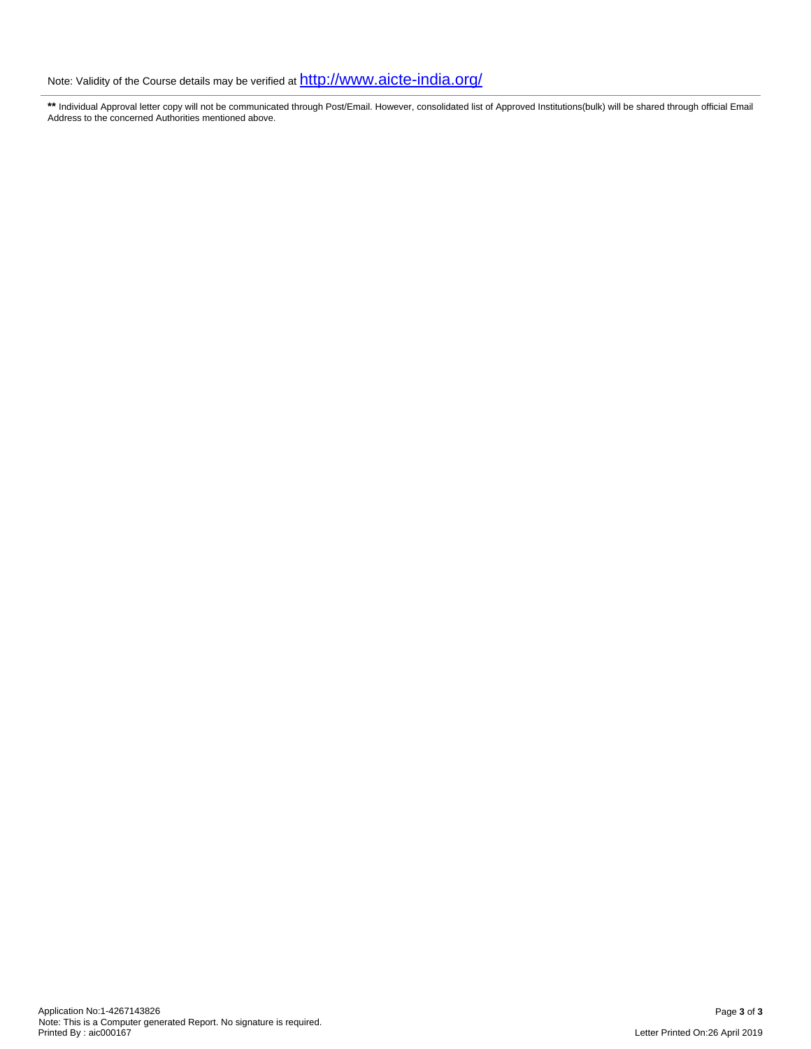**\*\*** Individual Approval letter copy will not be communicated through Post/Email. However, consolidated list of Approved Institutions(bulk) will be shared through official Email Address to the concerned Authorities mentioned above.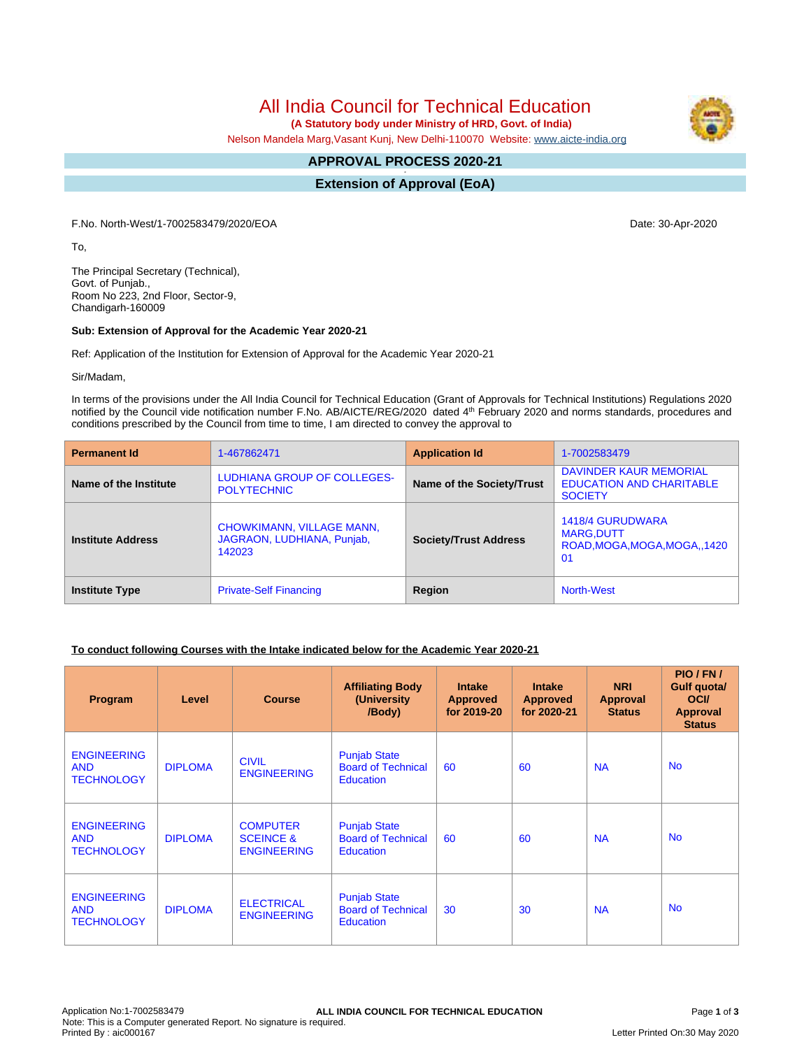**(A Statutory body under Ministry of HRD, Govt. of India)**

Nelson Mandela Marg,Vasant Kunj, New Delhi-110070 Website: [www.aicte-india.org](http://www.aicte-india.org)

#### **APPROVAL PROCESS 2020-21 -**

**Extension of Approval (EoA)**

F.No. North-West/1-7002583479/2020/EOA Date: 30-Apr-2020

To,

The Principal Secretary (Technical), Govt. of Punjab., Room No 223, 2nd Floor, Sector-9, Chandigarh-160009

#### **Sub: Extension of Approval for the Academic Year 2020-21**

Ref: Application of the Institution for Extension of Approval for the Academic Year 2020-21

Sir/Madam,

In terms of the provisions under the All India Council for Technical Education (Grant of Approvals for Technical Institutions) Regulations 2020 notified by the Council vide notification number F.No. AB/AICTE/REG/2020 dated 4<sup>th</sup> February 2020 and norms standards, procedures and conditions prescribed by the Council from time to time, I am directed to convey the approval to

| <b>Permanent Id</b>      | 1-467862471                                                              | <b>Application Id</b>        | 1-7002583479                                                                |
|--------------------------|--------------------------------------------------------------------------|------------------------------|-----------------------------------------------------------------------------|
| Name of the Institute    | LUDHIANA GROUP OF COLLEGES-<br><b>POLYTECHNIC</b>                        | Name of the Society/Trust    | DAVINDER KAUR MEMORIAL<br><b>EDUCATION AND CHARITABLE</b><br><b>SOCIETY</b> |
| <b>Institute Address</b> | <b>CHOWKIMANN, VILLAGE MANN,</b><br>JAGRAON, LUDHIANA, Punjab,<br>142023 | <b>Society/Trust Address</b> | 1418/4 GURUDWARA<br><b>MARG.DUTT</b><br>ROAD, MOGA, MOGA, MOGA, 1420<br>01  |
| <b>Institute Type</b>    | <b>Private-Self Financing</b>                                            | Region                       | <b>North-West</b>                                                           |

### **To conduct following Courses with the Intake indicated below for the Academic Year 2020-21**

| Program                                               | Level          | <b>Course</b>                                                 | <b>Affiliating Body</b><br>(University)<br>/Body)                    | <b>Intake</b><br><b>Approved</b><br>for 2019-20 | <b>Intake</b><br><b>Approved</b><br>for 2020-21 | <b>NRI</b><br>Approval<br><b>Status</b> | PIO/FN/<br>Gulf quota/<br><b>OCI</b><br><b>Approval</b><br><b>Status</b> |
|-------------------------------------------------------|----------------|---------------------------------------------------------------|----------------------------------------------------------------------|-------------------------------------------------|-------------------------------------------------|-----------------------------------------|--------------------------------------------------------------------------|
| <b>ENGINEERING</b><br><b>AND</b><br><b>TECHNOLOGY</b> | <b>DIPLOMA</b> | <b>CIVIL</b><br><b>ENGINEERING</b>                            | <b>Punjab State</b><br><b>Board of Technical</b><br><b>Education</b> | 60                                              | 60                                              | <b>NA</b>                               | <b>No</b>                                                                |
| <b>ENGINEERING</b><br><b>AND</b><br><b>TECHNOLOGY</b> | <b>DIPLOMA</b> | <b>COMPUTER</b><br><b>SCEINCE &amp;</b><br><b>ENGINEERING</b> | <b>Punjab State</b><br><b>Board of Technical</b><br><b>Education</b> | 60                                              | 60                                              | <b>NA</b>                               | <b>No</b>                                                                |
| <b>ENGINEERING</b><br><b>AND</b><br><b>TECHNOLOGY</b> | <b>DIPLOMA</b> | <b>ELECTRICAL</b><br><b>ENGINEERING</b>                       | <b>Punjab State</b><br><b>Board of Technical</b><br><b>Education</b> | 30                                              | 30                                              | <b>NA</b>                               | <b>No</b>                                                                |

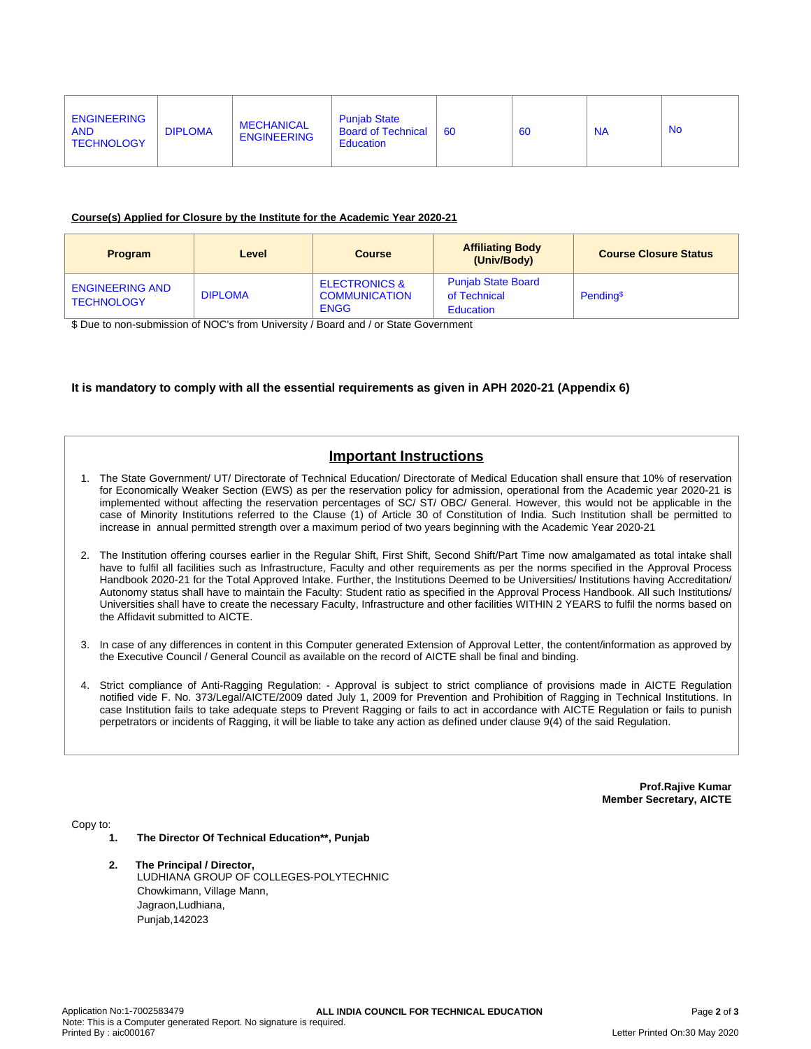| <b>ENGINEERING</b><br><b>AND</b><br><b>TECHNOLOGY</b> | <b>DIPLOMA</b> | <b>MECHANICAL</b><br><b>ENGINEERING</b> | <b>Puniab State</b><br><b>Board of Technical</b><br><b>Education</b> | -60 | 60 | <b>NA</b> | <b>No</b> |
|-------------------------------------------------------|----------------|-----------------------------------------|----------------------------------------------------------------------|-----|----|-----------|-----------|
|-------------------------------------------------------|----------------|-----------------------------------------|----------------------------------------------------------------------|-----|----|-----------|-----------|

#### **Course(s) Applied for Closure by the Institute for the Academic Year 2020-21**

| <b>Program</b>                              | Level          | <b>Course</b>                                                   | <b>Affiliating Body</b><br>(Univ/Body)                        | <b>Course Closure Status</b> |
|---------------------------------------------|----------------|-----------------------------------------------------------------|---------------------------------------------------------------|------------------------------|
| <b>ENGINEERING AND</b><br><b>TECHNOLOGY</b> | <b>DIPLOMA</b> | <b>ELECTRONICS &amp;</b><br><b>COMMUNICATION</b><br><b>ENGG</b> | <b>Punjab State Board</b><br>of Technical<br><b>Education</b> | Pending <sup>\$</sup>        |

\$ Due to non-submission of NOC's from University / Board and / or State Government

### **It is mandatory to comply with all the essential requirements as given in APH 2020-21 (Appendix 6)**

# **Important Instructions**

- 1. The State Government/ UT/ Directorate of Technical Education/ Directorate of Medical Education shall ensure that 10% of reservation for Economically Weaker Section (EWS) as per the reservation policy for admission, operational from the Academic year 2020-21 is implemented without affecting the reservation percentages of SC/ ST/ OBC/ General. However, this would not be applicable in the case of Minority Institutions referred to the Clause (1) of Article 30 of Constitution of India. Such Institution shall be permitted to increase in annual permitted strength over a maximum period of two years beginning with the Academic Year 2020-21
- 2. The Institution offering courses earlier in the Regular Shift, First Shift, Second Shift/Part Time now amalgamated as total intake shall have to fulfil all facilities such as Infrastructure, Faculty and other requirements as per the norms specified in the Approval Process Handbook 2020-21 for the Total Approved Intake. Further, the Institutions Deemed to be Universities/ Institutions having Accreditation/ Autonomy status shall have to maintain the Faculty: Student ratio as specified in the Approval Process Handbook. All such Institutions/ Universities shall have to create the necessary Faculty, Infrastructure and other facilities WITHIN 2 YEARS to fulfil the norms based on the Affidavit submitted to AICTE.
- 3. In case of any differences in content in this Computer generated Extension of Approval Letter, the content/information as approved by the Executive Council / General Council as available on the record of AICTE shall be final and binding.
- 4. Strict compliance of Anti-Ragging Regulation: Approval is subject to strict compliance of provisions made in AICTE Regulation notified vide F. No. 373/Legal/AICTE/2009 dated July 1, 2009 for Prevention and Prohibition of Ragging in Technical Institutions. In case Institution fails to take adequate steps to Prevent Ragging or fails to act in accordance with AICTE Regulation or fails to punish perpetrators or incidents of Ragging, it will be liable to take any action as defined under clause 9(4) of the said Regulation.

**Prof.Rajive Kumar Member Secretary, AICTE**

Copy to:

- **1. The Director Of Technical Education\*\*, Punjab**
- **2. The Principal / Director,** LUDHIANA GROUP OF COLLEGES-POLYTECHNIC Chowkimann, Village Mann, Jagraon,Ludhiana, Punjab,142023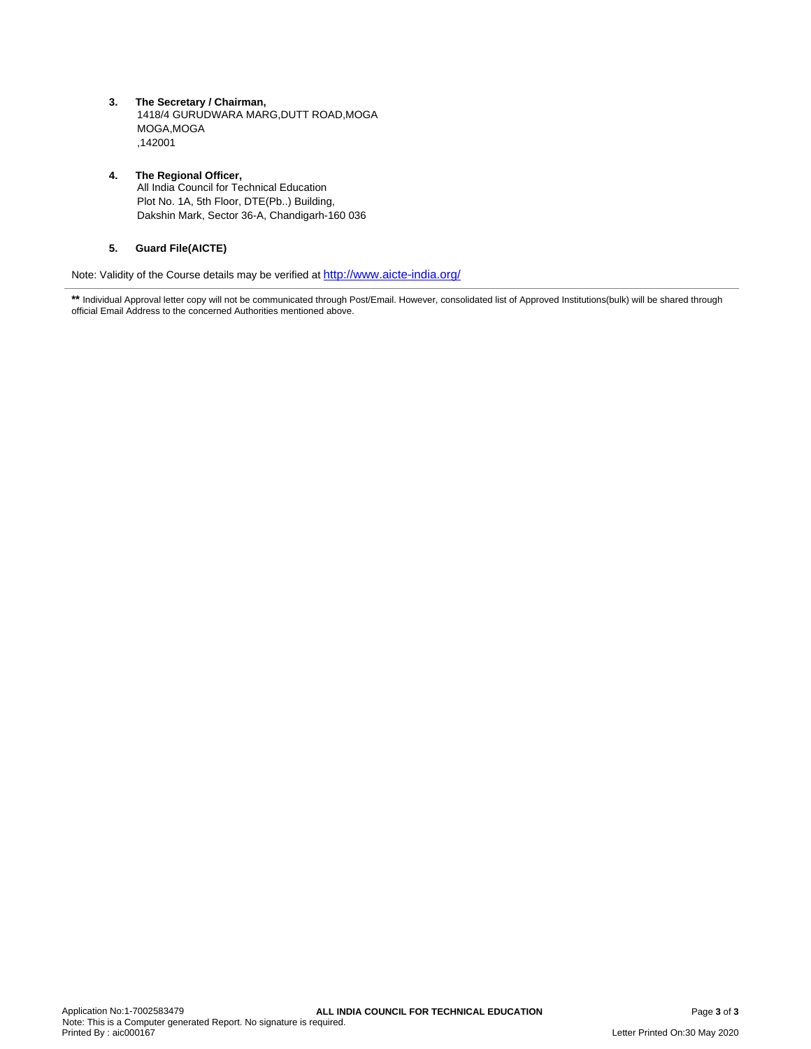**3. The Secretary / Chairman,** 1418/4 GURUDWARA MARG,DUTT ROAD,MOGA MOGA,MOGA ,142001

#### **4. The Regional Officer,** All India Council for Technical Education Plot No. 1A, 5th Floor, DTE(Pb..) Building, Dakshin Mark, Sector 36-A, Chandigarh-160 036

# **5. Guard File(AICTE)**

Note: Validity of the Course details may be verified at <http://www.aicte-india.org/>

\*\* Individual Approval letter copy will not be communicated through Post/Email. However, consolidated list of Approved Institutions(bulk) will be shared through official Email Address to the concerned Authorities mentioned above.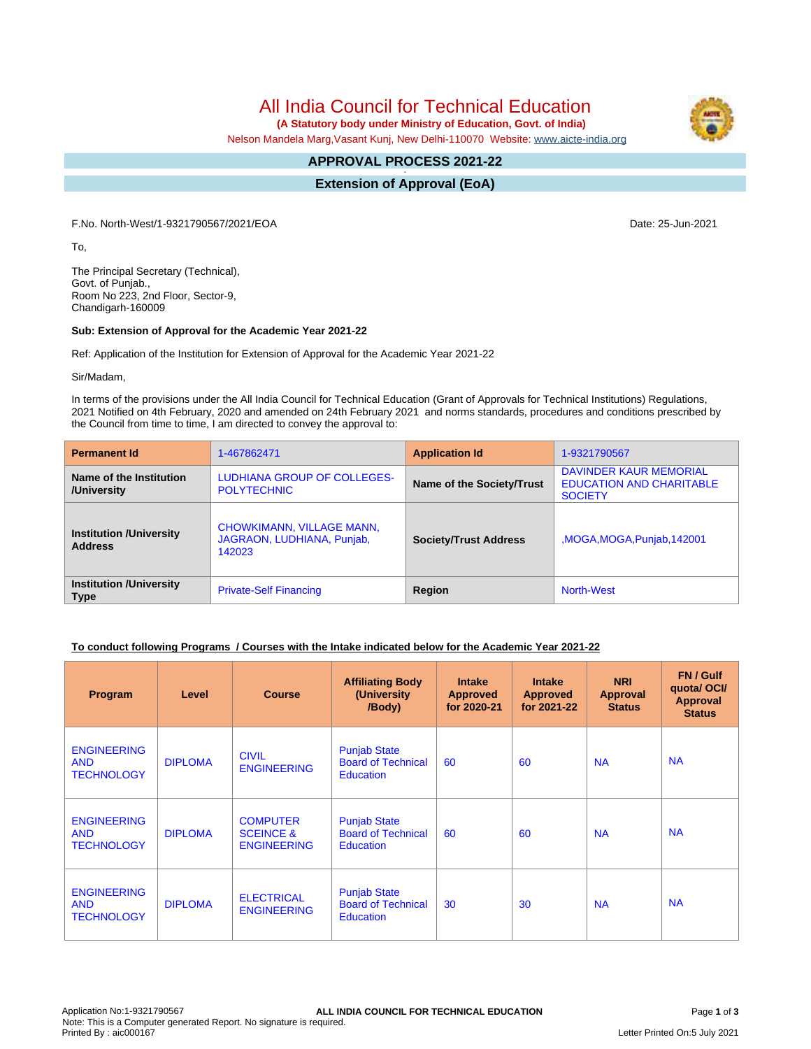**(A Statutory body under Ministry of Education, Govt. of India)**

Nelson Mandela Marg,Vasant Kunj, New Delhi-110070 Website: [www.aicte-india.org](http://www.aicte-india.org)

#### **APPROVAL PROCESS 2021-22 -**

**Extension of Approval (EoA)**

F.No. North-West/1-9321790567/2021/EOA Date: 25-Jun-2021

To,

The Principal Secretary (Technical), Govt. of Punjab., Room No 223, 2nd Floor, Sector-9, Chandigarh-160009

#### **Sub: Extension of Approval for the Academic Year 2021-22**

Ref: Application of the Institution for Extension of Approval for the Academic Year 2021-22

Sir/Madam,

In terms of the provisions under the All India Council for Technical Education (Grant of Approvals for Technical Institutions) Regulations, 2021 Notified on 4th February, 2020 and amended on 24th February 2021 and norms standards, procedures and conditions prescribed by the Council from time to time, I am directed to convey the approval to:

| <b>Permanent Id</b>                              | 1-467862471                                                              | <b>Application Id</b>        | 1-9321790567                                                                       |  |  |
|--------------------------------------------------|--------------------------------------------------------------------------|------------------------------|------------------------------------------------------------------------------------|--|--|
| Name of the Institution<br>/University           | LUDHIANA GROUP OF COLLEGES-<br><b>POLYTECHNIC</b>                        | Name of the Society/Trust    | <b>DAVINDER KAUR MEMORIAL</b><br><b>EDUCATION AND CHARITABLE</b><br><b>SOCIETY</b> |  |  |
| <b>Institution /University</b><br><b>Address</b> | <b>CHOWKIMANN, VILLAGE MANN,</b><br>JAGRAON, LUDHIANA, Punjab,<br>142023 | <b>Society/Trust Address</b> | MOGA, MOGA, Punjab, 142001,                                                        |  |  |
| <b>Institution /University</b><br><b>Type</b>    | <b>Private-Self Financing</b>                                            | Region                       | <b>North-West</b>                                                                  |  |  |

### **To conduct following Programs / Courses with the Intake indicated below for the Academic Year 2021-22**

| Program                                               | Level          | <b>Course</b>                                                 | <b>Affiliating Body</b><br>(University<br>/Body)                     | <b>Intake</b><br><b>Approved</b><br>for 2020-21 | <b>Intake</b><br><b>Approved</b><br>for 2021-22 | <b>NRI</b><br><b>Approval</b><br><b>Status</b> | FN / Gulf<br>quota/OCI/<br><b>Approval</b><br><b>Status</b> |
|-------------------------------------------------------|----------------|---------------------------------------------------------------|----------------------------------------------------------------------|-------------------------------------------------|-------------------------------------------------|------------------------------------------------|-------------------------------------------------------------|
| <b>ENGINEERING</b><br><b>AND</b><br><b>TECHNOLOGY</b> | <b>DIPLOMA</b> | <b>CIVIL</b><br><b>ENGINEERING</b>                            | <b>Punjab State</b><br><b>Board of Technical</b><br><b>Education</b> | 60                                              | 60                                              | <b>NA</b>                                      | <b>NA</b>                                                   |
| <b>ENGINEERING</b><br><b>AND</b><br><b>TECHNOLOGY</b> | <b>DIPLOMA</b> | <b>COMPUTER</b><br><b>SCEINCE &amp;</b><br><b>ENGINEERING</b> | <b>Punjab State</b><br><b>Board of Technical</b><br><b>Education</b> | 60                                              | 60                                              | <b>NA</b>                                      | <b>NA</b>                                                   |
| <b>ENGINEERING</b><br><b>AND</b><br><b>TECHNOLOGY</b> | <b>DIPLOMA</b> | <b>ELECTRICAL</b><br><b>ENGINEERING</b>                       | <b>Punjab State</b><br><b>Board of Technical</b><br><b>Education</b> | 30                                              | 30                                              | <b>NA</b>                                      | <b>NA</b>                                                   |

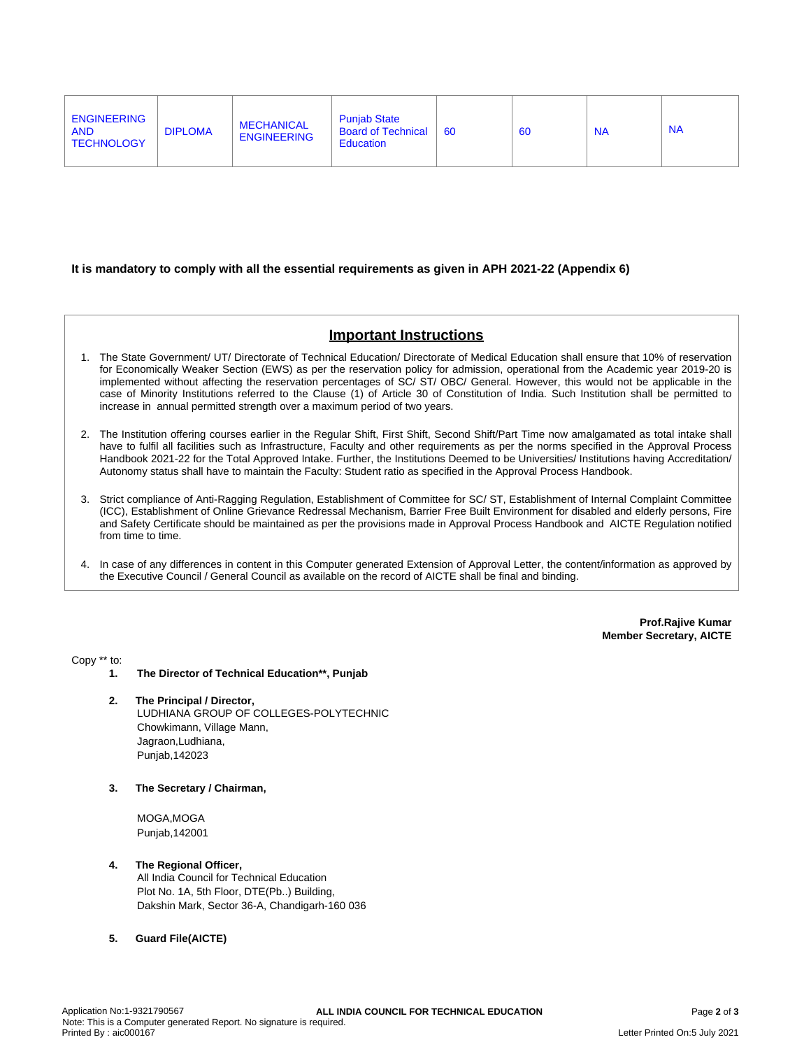| <b>ENGINEERING</b><br><b>AND</b><br><b>TECHNOLOGY</b> | <b>DIPLOMA</b> | <b>MECHANICAL</b><br><b>ENGINEERING</b> | <b>Punjab State</b><br><b>Board of Technical</b><br>Education | -60 | 60 | <b>NA</b> | <b>NA</b> |
|-------------------------------------------------------|----------------|-----------------------------------------|---------------------------------------------------------------|-----|----|-----------|-----------|
|                                                       |                |                                         |                                                               |     |    |           |           |

#### **It is mandatory to comply with all the essential requirements as given in APH 2021-22 (Appendix 6)**

# **Important Instructions**

- 1. The State Government/ UT/ Directorate of Technical Education/ Directorate of Medical Education shall ensure that 10% of reservation for Economically Weaker Section (EWS) as per the reservation policy for admission, operational from the Academic year 2019-20 is implemented without affecting the reservation percentages of SC/ ST/ OBC/ General. However, this would not be applicable in the case of Minority Institutions referred to the Clause (1) of Article 30 of Constitution of India. Such Institution shall be permitted to increase in annual permitted strength over a maximum period of two years.
- 2. The Institution offering courses earlier in the Regular Shift, First Shift, Second Shift/Part Time now amalgamated as total intake shall have to fulfil all facilities such as Infrastructure, Faculty and other requirements as per the norms specified in the Approval Process Handbook 2021-22 for the Total Approved Intake. Further, the Institutions Deemed to be Universities/ Institutions having Accreditation/ Autonomy status shall have to maintain the Faculty: Student ratio as specified in the Approval Process Handbook.
- 3. Strict compliance of Anti-Ragging Regulation, Establishment of Committee for SC/ ST, Establishment of Internal Complaint Committee (ICC), Establishment of Online Grievance Redressal Mechanism, Barrier Free Built Environment for disabled and elderly persons, Fire and Safety Certificate should be maintained as per the provisions made in Approval Process Handbook and AICTE Regulation notified from time to time.
- 4. In case of any differences in content in this Computer generated Extension of Approval Letter, the content/information as approved by the Executive Council / General Council as available on the record of AICTE shall be final and binding.

**Prof.Rajive Kumar Member Secretary, AICTE**

Copy \*\* to:

- **1. The Director of Technical Education\*\*, Punjab**
- **2. The Principal / Director,** LUDHIANA GROUP OF COLLEGES-POLYTECHNIC Chowkimann, Village Mann, Jagraon,Ludhiana, Punjab,142023
- **3. The Secretary / Chairman,**

MOGA,MOGA Punjab,142001

## **4. The Regional Officer,**

All India Council for Technical Education Plot No. 1A, 5th Floor, DTE(Pb..) Building, Dakshin Mark, Sector 36-A, Chandigarh-160 036

**5. Guard File(AICTE)**